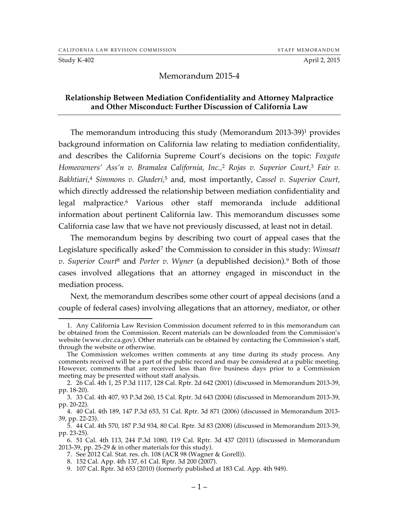#### Study K-402 **April 2, 2015**

#### Memorandum 2015-4

#### **Relationship Between Mediation Confidentiality and Attorney Malpractice and Other Misconduct: Further Discussion of California Law**

The memorandum introducing this study (Memorandum 2013-39)1 provides background information on California law relating to mediation confidentiality, and describes the California Supreme Court's decisions on the topic: *Foxgate Homeowners' Ass'n v. Bramalea California, Inc.,*<sup>2</sup> *Rojas v. Superior Court,*<sup>3</sup> *Fair v. Bakhtiari,*<sup>4</sup> *Simmons v. Ghaderi,*<sup>5</sup> and, most importantly, *Cassel v. Superior Court,* which directly addressed the relationship between mediation confidentiality and legal malpractice*.* <sup>6</sup> Various other staff memoranda include additional information about pertinent California law. This memorandum discusses some California case law that we have not previously discussed, at least not in detail.

The memorandum begins by describing two court of appeal cases that the Legislature specifically asked<sup>7</sup> the Commission to consider in this study: *Wimsatt v. Superior Court*<sup>8</sup> and *Porter v. Wyner* (a depublished decision)*.* <sup>9</sup> Both of those cases involved allegations that an attorney engaged in misconduct in the mediation process.

Next, the memorandum describes some other court of appeal decisions (and a couple of federal cases) involving allegations that an attorney, mediator, or other

7. See 2012 Cal. Stat. res. ch. 108 (ACR 98 (Wagner & Gorell)).

 <sup>1.</sup> Any California Law Revision Commission document referred to in this memorandum can be obtained from the Commission. Recent materials can be downloaded from the Commission's website (www.clrc.ca.gov). Other materials can be obtained by contacting the Commission's staff, through the website or otherwise.

The Commission welcomes written comments at any time during its study process. Any comments received will be a part of the public record and may be considered at a public meeting. However, comments that are received less than five business days prior to a Commission meeting may be presented without staff analysis.

<sup>2.</sup> 26 Cal. 4th 1, 25 P.3d 1117, 128 Cal. Rptr. 2d 642 (2001) (discussed in Memorandum 2013-39, pp. 18-20).

<sup>3.</sup> 33 Cal. 4th 407, 93 P.3d 260, 15 Cal. Rptr. 3d 643 (2004) (discussed in Memorandum 2013-39, pp. 20-22).

<sup>4.</sup> 40 Cal. 4th 189, 147 P.3d 653, 51 Cal. Rptr. 3d 871 (2006) (discussed in Memorandum 2013- 39, pp. 22-23).

<sup>5.</sup> 44 Cal. 4th 570, 187 P.3d 934, 80 Cal. Rptr. 3d 83 (2008) (discussed in Memorandum 2013-39, pp. 23-25).

<sup>6.</sup> 51 Cal. 4th 113, 244 P.3d 1080, 119 Cal. Rptr. 3d 437 (2011) (discussed in Memorandum 2013-39, pp. 25-29  $\&$  in other materials for this study).

<sup>8.</sup> 152 Cal. App. 4th 137, 61 Cal. Rptr. 3d 200 (2007).

<sup>9.</sup> 107 Cal. Rptr. 3d 653 (2010) (formerly published at 183 Cal. App. 4th 949).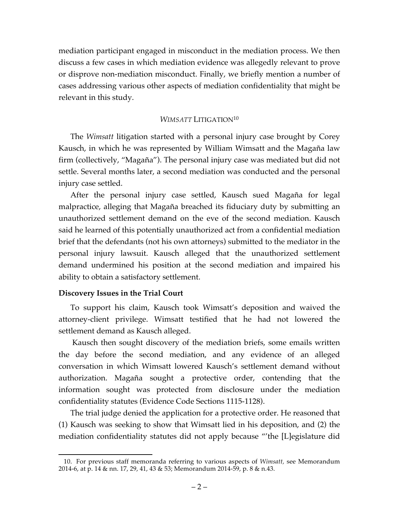mediation participant engaged in misconduct in the mediation process. We then discuss a few cases in which mediation evidence was allegedly relevant to prove or disprove non-mediation misconduct. Finally, we briefly mention a number of cases addressing various other aspects of mediation confidentiality that might be relevant in this study.

## *WIMSATT* LITIGATION10

The *Wimsatt* litigation started with a personal injury case brought by Corey Kausch, in which he was represented by William Wimsatt and the Magaña law firm (collectively, "Magaña"). The personal injury case was mediated but did not settle. Several months later, a second mediation was conducted and the personal injury case settled.

After the personal injury case settled, Kausch sued Magaña for legal malpractice, alleging that Magaña breached its fiduciary duty by submitting an unauthorized settlement demand on the eve of the second mediation. Kausch said he learned of this potentially unauthorized act from a confidential mediation brief that the defendants (not his own attorneys) submitted to the mediator in the personal injury lawsuit. Kausch alleged that the unauthorized settlement demand undermined his position at the second mediation and impaired his ability to obtain a satisfactory settlement.

### **Discovery Issues in the Trial Court**

To support his claim, Kausch took Wimsatt's deposition and waived the attorney-client privilege. Wimsatt testified that he had not lowered the settlement demand as Kausch alleged.

Kausch then sought discovery of the mediation briefs, some emails written the day before the second mediation, and any evidence of an alleged conversation in which Wimsatt lowered Kausch's settlement demand without authorization. Magaña sought a protective order, contending that the information sought was protected from disclosure under the mediation confidentiality statutes (Evidence Code Sections 1115-1128).

The trial judge denied the application for a protective order. He reasoned that (1) Kausch was seeking to show that Wimsatt lied in his deposition, and (2) the mediation confidentiality statutes did not apply because "'the [L]egislature did

 <sup>10.</sup> For previous staff memoranda referring to various aspects of *Wimsatt,* see Memorandum 2014-6, at p. 14 & nn. 17, 29, 41, 43 & 53; Memorandum 2014-59, p. 8 & n.43.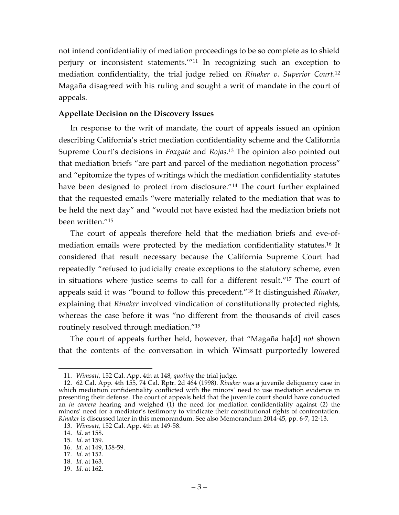not intend confidentiality of mediation proceedings to be so complete as to shield perjury or inconsistent statements.'"11 In recognizing such an exception to mediation confidentiality, the trial judge relied on *Rinaker v. Superior Court*. 12 Magaña disagreed with his ruling and sought a writ of mandate in the court of appeals.

#### **Appellate Decision on the Discovery Issues**

In response to the writ of mandate, the court of appeals issued an opinion describing California's strict mediation confidentiality scheme and the California Supreme Court's decisions in *Foxgate* and *Rojas*. <sup>13</sup> The opinion also pointed out that mediation briefs "are part and parcel of the mediation negotiation process" and "epitomize the types of writings which the mediation confidentiality statutes have been designed to protect from disclosure."14 The court further explained that the requested emails "were materially related to the mediation that was to be held the next day" and "would not have existed had the mediation briefs not been written."15

The court of appeals therefore held that the mediation briefs and eve-ofmediation emails were protected by the mediation confidentiality statutes.16 It considered that result necessary because the California Supreme Court had repeatedly "refused to judicially create exceptions to the statutory scheme, even in situations where justice seems to call for a different result."17 The court of appeals said it was "bound to follow this precedent."18 It distinguished *Rinaker*, explaining that *Rinaker* involved vindication of constitutionally protected rights, whereas the case before it was "no different from the thousands of civil cases routinely resolved through mediation."19

The court of appeals further held, however, that "Magaña ha[d] *not* shown that the contents of the conversation in which Wimsatt purportedly lowered

 <sup>11.</sup> *Wimsatt,* 152 Cal. App. 4th at 148, *quoting* the trial judge.

<sup>12.</sup> 62 Cal. App. 4th 155, 74 Cal. Rptr. 2d 464 (1998). *Rinaker* was a juvenile deliquency case in which mediation confidentiality conflicted with the minors' need to use mediation evidence in presenting their defense. The court of appeals held that the juvenile court should have conducted an *in camera* hearing and weighed (1) the need for mediation confidentiality against (2) the minors' need for a mediator's testimony to vindicate their constitutional rights of confrontation. *Rinaker* is discussed later in this memorandum. See also Memorandum 2014-45, pp. 6-7, 12-13.

<sup>13.</sup> *Wimsatt,* 152 Cal. App. 4th at 149-58.

<sup>14.</sup> *Id.* at 158.

<sup>15.</sup> *Id.* at 159.

<sup>16.</sup> *Id.* at 149, 158-59.

<sup>17.</sup> *Id.* at 152.

<sup>18.</sup> *Id.* at 163.

<sup>19.</sup> *Id.* at 162.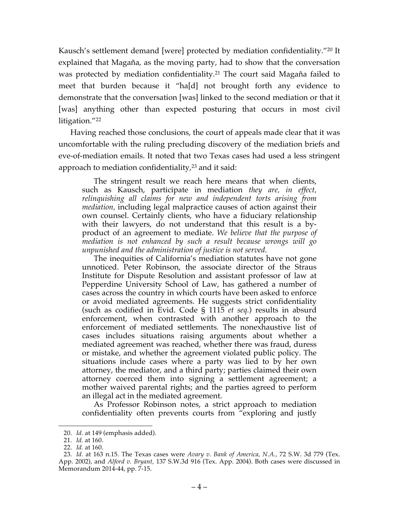Kausch's settlement demand [were] protected by mediation confidentiality."20 It explained that Magaña, as the moving party, had to show that the conversation was protected by mediation confidentiality.<sup>21</sup> The court said Magaña failed to meet that burden because it "ha[d] not brought forth any evidence to demonstrate that the conversation [was] linked to the second mediation or that it [was] anything other than expected posturing that occurs in most civil litigation."22

Having reached those conclusions, the court of appeals made clear that it was uncomfortable with the ruling precluding discovery of the mediation briefs and eve-of-mediation emails. It noted that two Texas cases had used a less stringent approach to mediation confidentiality, $2<sup>3</sup>$  and it said:

The stringent result we reach here means that when clients, such as Kausch, participate in mediation *they are, in effect, relinquishing all claims for new and independent torts arising from mediation,* including legal malpractice causes of action against their own counsel. Certainly clients, who have a fiduciary relationship with their lawyers, do not understand that this result is a byproduct of an agreement to mediate. *We believe that the purpose of mediation is not enhanced by such a result because wrongs will go unpunished and the administration of justice is not served*.

The inequities of California's mediation statutes have not gone unnoticed. Peter Robinson, the associate director of the Straus Institute for Dispute Resolution and assistant professor of law at Pepperdine University School of Law, has gathered a number of cases across the country in which courts have been asked to enforce or avoid mediated agreements. He suggests strict confidentiality (such as codified in Evid. Code § 1115 *et seq.*) results in absurd enforcement, when contrasted with another approach to the enforcement of mediated settlements. The nonexhaustive list of cases includes situations raising arguments about whether a mediated agreement was reached, whether there was fraud, duress or mistake, and whether the agreement violated public policy. The situations include cases where a party was lied to by her own attorney, the mediator, and a third party; parties claimed their own attorney coerced them into signing a settlement agreement; a mother waived parental rights; and the parties agreed to perform an illegal act in the mediated agreement.

As Professor Robinson notes, a strict approach to mediation confidentiality often prevents courts from "exploring and justly

 <sup>20.</sup> *Id.* at 149 (emphasis added).

<sup>21.</sup> *Id.* at 160.

<sup>22.</sup> *Id.* at 160.

<sup>23.</sup> *Id.* at 163 n.15. The Texas cases were *Avary v. Bank of America, N.A.,* 72 S.W. 3d 779 (Tex. App. 2002), and *Alford v. Bryant,* 137 S.W.3d 916 (Tex. App. 2004). Both cases were discussed in Memorandum 2014-44, pp. 7-15.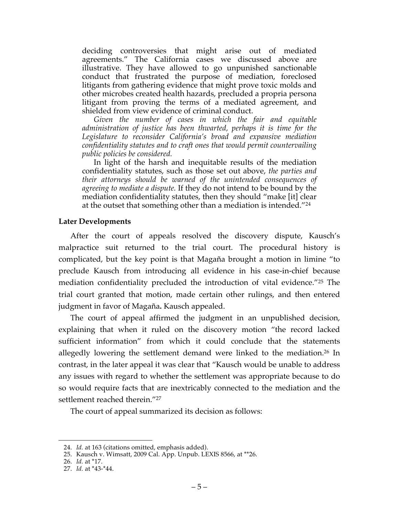deciding controversies that might arise out of mediated agreements." The California cases we discussed above are illustrative. They have allowed to go unpunished sanctionable conduct that frustrated the purpose of mediation, foreclosed litigants from gathering evidence that might prove toxic molds and other microbes created health hazards, precluded a propria persona litigant from proving the terms of a mediated agreement, and shielded from view evidence of criminal conduct.

*Given the number of cases in which the fair and equitable administration of justice has been thwarted, perhaps it is time for the Legislature to reconsider California's broad and expansive mediation confidentiality statutes and to craft ones that would permit countervailing public policies be considered.*

In light of the harsh and inequitable results of the mediation confidentiality statutes, such as those set out above, *the parties and their attorneys should be warned of the unintended consequences of agreeing to mediate a dispute.* If they do not intend to be bound by the mediation confidentiality statutes, then they should "make [it] clear at the outset that something other than a mediation is intended."24

#### **Later Developments**

After the court of appeals resolved the discovery dispute, Kausch's malpractice suit returned to the trial court. The procedural history is complicated, but the key point is that Magaña brought a motion in limine "to preclude Kausch from introducing all evidence in his case-in-chief because mediation confidentiality precluded the introduction of vital evidence."25 The trial court granted that motion, made certain other rulings, and then entered judgment in favor of Magaña**.** Kausch appealed.

The court of appeal affirmed the judgment in an unpublished decision, explaining that when it ruled on the discovery motion "the record lacked sufficient information" from which it could conclude that the statements allegedly lowering the settlement demand were linked to the mediation.<sup>26</sup> In contrast, in the later appeal it was clear that "Kausch would be unable to address any issues with regard to whether the settlement was appropriate because to do so would require facts that are inextricably connected to the mediation and the settlement reached therein."<sup>27</sup>

The court of appeal summarized its decision as follows:

 <sup>24.</sup> *Id.* at 163 (citations omitted, emphasis added).

<sup>25.</sup> Kausch v. Wimsatt, 2009 Cal. App. Unpub. LEXIS 8566, at \*\*26.

<sup>26.</sup> *Id.* at \*17.

<sup>27.</sup> *Id.* at \*43-\*44.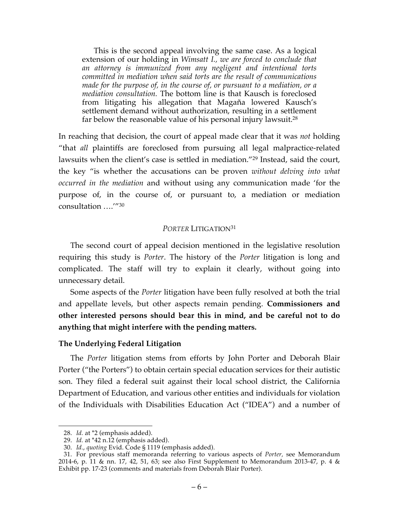This is the second appeal involving the same case. As a logical extension of our holding in *Wimsatt I., we are forced to conclude that an attorney is immunized from any negligent and intentional torts committed in mediation when said torts are the result of communications made for the purpose of, in the course of, or pursuant to a mediation, or a mediation consultation.* The bottom line is that Kausch is foreclosed from litigating his allegation that Magaña lowered Kausch's settlement demand without authorization, resulting in a settlement far below the reasonable value of his personal injury lawsuit.<sup>28</sup>

In reaching that decision, the court of appeal made clear that it was *not* holding "that *all* plaintiffs are foreclosed from pursuing all legal malpractice-related lawsuits when the client's case is settled in mediation."29 Instead, said the court, the key "is whether the accusations can be proven *without delving into what occurred in the mediation* and without using any communication made 'for the purpose of, in the course of, or pursuant to, a mediation or mediation consultation ….'"30

### *PORTER* LITIGATION31

The second court of appeal decision mentioned in the legislative resolution requiring this study is *Porter*. The history of the *Porter* litigation is long and complicated. The staff will try to explain it clearly, without going into unnecessary detail.

Some aspects of the *Porter* litigation have been fully resolved at both the trial and appellate levels, but other aspects remain pending. **Commissioners and other interested persons should bear this in mind, and be careful not to do anything that might interfere with the pending matters.**

#### **The Underlying Federal Litigation**

The *Porter* litigation stems from efforts by John Porter and Deborah Blair Porter ("the Porters") to obtain certain special education services for their autistic son. They filed a federal suit against their local school district, the California Department of Education, and various other entities and individuals for violation of the Individuals with Disabilities Education Act ("IDEA") and a number of

 <sup>28.</sup> *Id.* at \*2 (emphasis added).

<sup>29.</sup> *Id.* at \*42 n.12 (emphasis added).

<sup>30.</sup> *Id.*, *quoting* Evid. Code § 1119 (emphasis added).

<sup>31.</sup> For previous staff memoranda referring to various aspects of *Porter,* see Memorandum 2014-6, p. 11 & nn. 17, 42, 51, 63; see also First Supplement to Memorandum 2013-47, p. 4 & Exhibit pp. 17-23 (comments and materials from Deborah Blair Porter).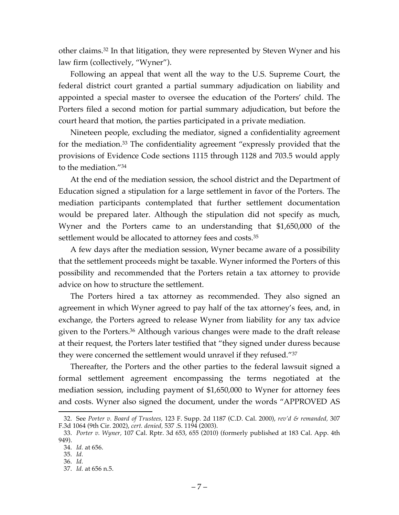other claims.32 In that litigation, they were represented by Steven Wyner and his law firm (collectively, "Wyner").

Following an appeal that went all the way to the U.S. Supreme Court, the federal district court granted a partial summary adjudication on liability and appointed a special master to oversee the education of the Porters' child. The Porters filed a second motion for partial summary adjudication, but before the court heard that motion, the parties participated in a private mediation.

Nineteen people, excluding the mediator, signed a confidentiality agreement for the mediation.33 The confidentiality agreement "expressly provided that the provisions of Evidence Code sections 1115 through 1128 and 703.5 would apply to the mediation."34

At the end of the mediation session, the school district and the Department of Education signed a stipulation for a large settlement in favor of the Porters. The mediation participants contemplated that further settlement documentation would be prepared later. Although the stipulation did not specify as much, Wyner and the Porters came to an understanding that \$1,650,000 of the settlement would be allocated to attorney fees and costs.<sup>35</sup>

A few days after the mediation session, Wyner became aware of a possibility that the settlement proceeds might be taxable. Wyner informed the Porters of this possibility and recommended that the Porters retain a tax attorney to provide advice on how to structure the settlement.

The Porters hired a tax attorney as recommended. They also signed an agreement in which Wyner agreed to pay half of the tax attorney's fees, and, in exchange, the Porters agreed to release Wyner from liability for any tax advice given to the Porters.36 Although various changes were made to the draft release at their request, the Porters later testified that "they signed under duress because they were concerned the settlement would unravel if they refused."37

Thereafter, the Porters and the other parties to the federal lawsuit signed a formal settlement agreement encompassing the terms negotiated at the mediation session, including payment of \$1,650,000 to Wyner for attorney fees and costs. Wyner also signed the document, under the words "APPROVED AS

 <sup>32.</sup> See *Porter v. Board of Trustees,* 123 F. Supp. 2d 1187 (C.D. Cal. 2000), *rev'd & remanded,* <sup>307</sup> F.3d 1064 (9th Cir. 2002), *cert. denied,* 537 .S. 1194 (2003).

<sup>33.</sup> *Porter v. Wyner,* 107 Cal. Rptr. 3d 653, 655 (2010) (formerly published at 183 Cal. App. 4th 949).

<sup>34.</sup> *Id.* at 656.

<sup>35.</sup> *Id.* 36. *Id.*

<sup>37.</sup> *Id.* at 656 n.5.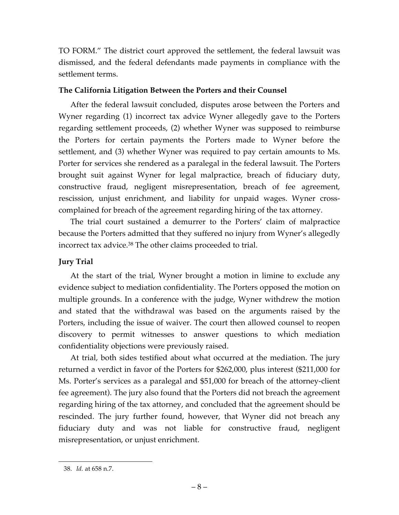TO FORM." The district court approved the settlement, the federal lawsuit was dismissed, and the federal defendants made payments in compliance with the settlement terms.

## **The California Litigation Between the Porters and their Counsel**

After the federal lawsuit concluded, disputes arose between the Porters and Wyner regarding (1) incorrect tax advice Wyner allegedly gave to the Porters regarding settlement proceeds, (2) whether Wyner was supposed to reimburse the Porters for certain payments the Porters made to Wyner before the settlement, and (3) whether Wyner was required to pay certain amounts to Ms. Porter for services she rendered as a paralegal in the federal lawsuit. The Porters brought suit against Wyner for legal malpractice, breach of fiduciary duty, constructive fraud, negligent misrepresentation, breach of fee agreement, rescission, unjust enrichment, and liability for unpaid wages. Wyner crosscomplained for breach of the agreement regarding hiring of the tax attorney.

The trial court sustained a demurrer to the Porters' claim of malpractice because the Porters admitted that they suffered no injury from Wyner's allegedly incorrect tax advice.<sup>38</sup> The other claims proceeded to trial.

# **Jury Trial**

At the start of the trial, Wyner brought a motion in limine to exclude any evidence subject to mediation confidentiality. The Porters opposed the motion on multiple grounds. In a conference with the judge, Wyner withdrew the motion and stated that the withdrawal was based on the arguments raised by the Porters, including the issue of waiver. The court then allowed counsel to reopen discovery to permit witnesses to answer questions to which mediation confidentiality objections were previously raised.

At trial, both sides testified about what occurred at the mediation. The jury returned a verdict in favor of the Porters for \$262,000, plus interest (\$211,000 for Ms. Porter's services as a paralegal and \$51,000 for breach of the attorney-client fee agreement). The jury also found that the Porters did not breach the agreement regarding hiring of the tax attorney, and concluded that the agreement should be rescinded. The jury further found, however, that Wyner did not breach any fiduciary duty and was not liable for constructive fraud, negligent misrepresentation, or unjust enrichment.

 <sup>38.</sup> *Id.* at 658 n.7.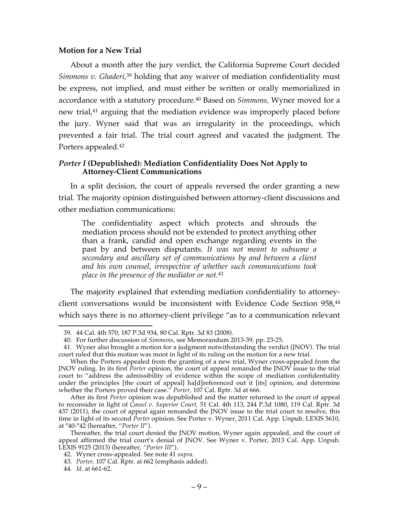#### **Motion for a New Trial**

About a month after the jury verdict, the California Supreme Court decided Simmons v. Ghaderi,<sup>39</sup> holding that any waiver of mediation confidentiality must be express, not implied, and must either be written or orally memorialized in accordance with a statutory procedure. <sup>40</sup> Based on *Simmons,* Wyner moved for a new trial,<sup>41</sup> arguing that the mediation evidence was improperly placed before the jury. Wyner said that was an irregularity in the proceedings, which prevented a fair trial. The trial court agreed and vacated the judgment. The Porters appealed.42

#### *Porter I* **(Depublished): Mediation Confidentiality Does Not Apply to Attorney-Client Communications**

In a split decision, the court of appeals reversed the order granting a new trial. The majority opinion distinguished between attorney-client discussions and other mediation communications:

The confidentiality aspect which protects and shrouds the mediation process should not be extended to protect anything other than a frank, candid and open exchange regarding events in the past by and between disputants. *It was not meant to subsume a secondary and ancillary set of communications by and between a client and his own counsel, irrespective of whether such communications took place in the presence of the mediator or not.*<sup>43</sup>

The majority explained that extending mediation confidentiality to attorneyclient conversations would be inconsistent with Evidence Code Section 958,<sup>44</sup> which says there is no attorney-client privilege "as to a communication relevant

 <sup>39.</sup> 44 Cal. 4th 570, 187 P.3d 934, 80 Cal. Rptr. 3d 83 (2008).

<sup>40.</sup> For further discussion of *Simmons,* see Memorandum 2013-39, pp. 23-25.

<sup>41.</sup> Wyner also brought a motion for a judgment notwithstanding the verdict (JNOV). The trial court ruled that this motion was moot in light of its ruling on the motion for a new trial.

When the Porters appealed from the granting of a new trial, Wyner cross-appealed from the JNOV ruling. In its first *Porter* opinion, the court of appeal remanded the JNOV issue to the trial court to "address the admissibility of evidence within the scope of mediation confidentiality under the principles [the court of appeal] ha[d]referenced out it [its] opinion, and determine whether the Porters proved their case." *Porter,* 107 Cal. Rptr. 3d at 666.

After its first *Porter* opinion was depublished and the matter returned to the court of appeal to reconsider in light of *Cassel v. Superior Court,* 51 Cal. 4th 113, 244 P.3d 1080, 119 Cal. Rptr. 3d 437 (2011), the court of appeal again remanded the JNOV issue to the trial court to resolve, this time in light of its second *Porter* opinion. See Porter v. Wyner, 2011 Cal. App. Unpub. LEXIS 5610, at \*40-\*42 (hereafter, "*Porter II*").

Thereafter, the trial court denied the JNOV motion, Wyner again appealed, and the court of appeal affirmed the trial court's denial of JNOV. See Wyner v. Porter, 2013 Cal. App. Unpub. LEXIS 9125 (2013) (hereafter, *"Porter III*").

<sup>42.</sup> Wyner cross-appealed. See note 41 *supra*.

<sup>43.</sup> *Porter,* 107 Cal. Rptr. at 662 (emphasis added).

<sup>44.</sup> *Id.* at 661-62.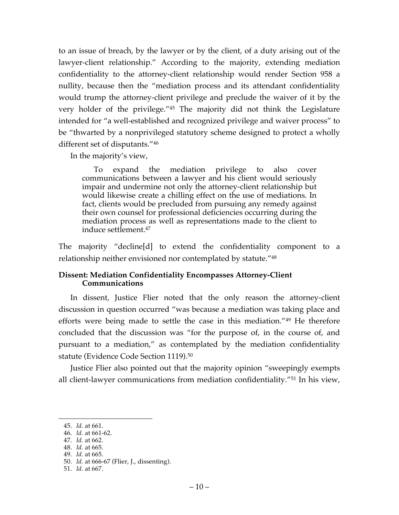to an issue of breach, by the lawyer or by the client, of a duty arising out of the lawyer-client relationship." According to the majority, extending mediation confidentiality to the attorney-client relationship would render Section 958 a nullity, because then the "mediation process and its attendant confidentiality would trump the attorney-client privilege and preclude the waiver of it by the very holder of the privilege."45 The majority did not think the Legislature intended for "a well-established and recognized privilege and waiver process" to be "thwarted by a nonprivileged statutory scheme designed to protect a wholly different set of disputants."46

In the majority's view,

To expand the mediation privilege to also cover communications between a lawyer and his client would seriously impair and undermine not only the attorney-client relationship but would likewise create a chilling effect on the use of mediations. In fact, clients would be precluded from pursuing any remedy against their own counsel for professional deficiencies occurring during the mediation process as well as representations made to the client to induce settlement.47

The majority "decline[d] to extend the confidentiality component to a relationship neither envisioned nor contemplated by statute."48

### **Dissent: Mediation Confidentiality Encompasses Attorney-Client Communications**

In dissent, Justice Flier noted that the only reason the attorney-client discussion in question occurred "was because a mediation was taking place and efforts were being made to settle the case in this mediation."49 He therefore concluded that the discussion was "for the purpose of, in the course of, and pursuant to a mediation," as contemplated by the mediation confidentiality statute (Evidence Code Section 1119). 50

Justice Flier also pointed out that the majority opinion "sweepingly exempts all client-lawyer communications from mediation confidentiality."51 In his view,

47. *Id.* at 662.

49. *Id.* at 665.

 <sup>45.</sup> *Id.* at 661.

<sup>46.</sup> *Id.* at 661-62.

<sup>48.</sup> *Id.* at 665.

<sup>50.</sup> *Id.* at 666-67 (Flier, J., dissenting).

<sup>51.</sup> *Id.* at 667.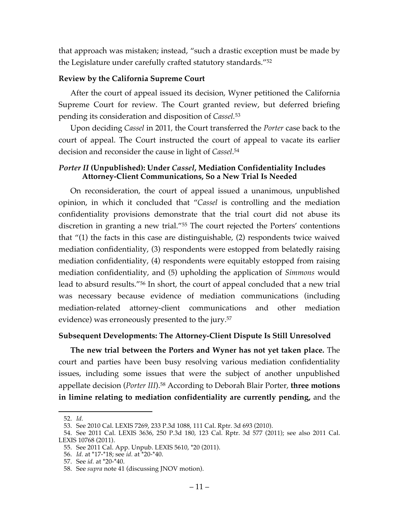that approach was mistaken; instead, "such a drastic exception must be made by the Legislature under carefully crafted statutory standards."52

### **Review by the California Supreme Court**

After the court of appeal issued its decision, Wyner petitioned the California Supreme Court for review. The Court granted review, but deferred briefing pending its consideration and disposition of *Cassel.* 53

Upon deciding *Cassel* in 2011*,* the Court transferred the *Porter* case back to the court of appeal. The Court instructed the court of appeal to vacate its earlier decision and reconsider the cause in light of *Cassel*. 54

### *Porter II* **(Unpublished): Under** *Cassel***, Mediation Confidentiality Includes Attorney-Client Communications, So a New Trial Is Needed**

On reconsideration, the court of appeal issued a unanimous, unpublished opinion, in which it concluded that "*Cassel* is controlling and the mediation confidentiality provisions demonstrate that the trial court did not abuse its discretion in granting a new trial."55 The court rejected the Porters' contentions that "(1) the facts in this case are distinguishable, (2) respondents twice waived mediation confidentiality, (3) respondents were estopped from belatedly raising mediation confidentiality, (4) respondents were equitably estopped from raising mediation confidentiality, and (5) upholding the application of *Simmons* would lead to absurd results."56 In short, the court of appeal concluded that a new trial was necessary because evidence of mediation communications (including mediation-related attorney-client communications and other mediation evidence) was erroneously presented to the jury. 57

### **Subsequent Developments: The Attorney-Client Dispute Is Still Unresolved**

**The new trial between the Porters and Wyner has not yet taken place.** The court and parties have been busy resolving various mediation confidentiality issues, including some issues that were the subject of another unpublished appellate decision (*Porter III*). <sup>58</sup> According to Deborah Blair Porter, **three motions in limine relating to mediation confidentiality are currently pending,** and the

 <sup>52.</sup> *Id.*

<sup>53.</sup> See 2010 Cal. LEXIS 7269, 233 P.3d 1088, 111 Cal. Rptr. 3d 693 (2010).

<sup>54.</sup> See 2011 Cal. LEXIS 3636, 250 P.3d 180, 123 Cal. Rptr. 3d 577 (2011); see also 2011 Cal. LEXIS 10768 (2011).

<sup>55.</sup> See 2011 Cal. App. Unpub. LEXIS 5610, \*20 (2011).

<sup>56.</sup> *Id.* at \*17-\*18; see *id.* at \*20-\*40.

<sup>57.</sup> See *id.* at \*20-\*40.

<sup>58.</sup> See *supra* note 41 (discussing JNOV motion).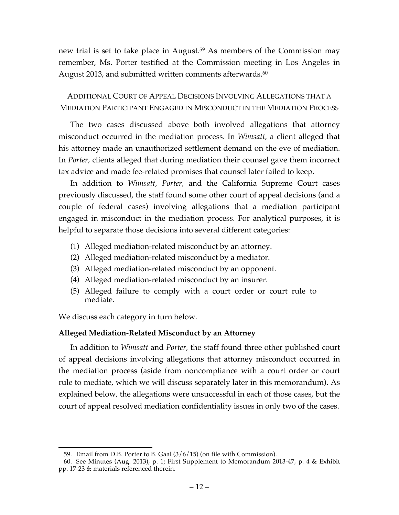new trial is set to take place in August.<sup>59</sup> As members of the Commission may remember, Ms. Porter testified at the Commission meeting in Los Angeles in August 2013, and submitted written comments afterwards.<sup>60</sup>

ADDITIONAL COURT OF APPEAL DECISIONS INVOLVING ALLEGATIONS THAT A MEDIATION PARTICIPANT ENGAGED IN MISCONDUCT IN THE MEDIATION PROCESS

The two cases discussed above both involved allegations that attorney misconduct occurred in the mediation process. In *Wimsatt,* a client alleged that his attorney made an unauthorized settlement demand on the eve of mediation. In *Porter,* clients alleged that during mediation their counsel gave them incorrect tax advice and made fee-related promises that counsel later failed to keep.

In addition to *Wimsatt, Porter,* and the California Supreme Court cases previously discussed, the staff found some other court of appeal decisions (and a couple of federal cases) involving allegations that a mediation participant engaged in misconduct in the mediation process. For analytical purposes, it is helpful to separate those decisions into several different categories:

- (1) Alleged mediation-related misconduct by an attorney.
- (2) Alleged mediation-related misconduct by a mediator.
- (3) Alleged mediation-related misconduct by an opponent.
- (4) Alleged mediation-related misconduct by an insurer.
- (5) Alleged failure to comply with a court order or court rule to mediate.

We discuss each category in turn below.

### **Alleged Mediation-Related Misconduct by an Attorney**

In addition to *Wimsatt* and *Porter,* the staff found three other published court of appeal decisions involving allegations that attorney misconduct occurred in the mediation process (aside from noncompliance with a court order or court rule to mediate, which we will discuss separately later in this memorandum). As explained below, the allegations were unsuccessful in each of those cases, but the court of appeal resolved mediation confidentiality issues in only two of the cases.

 <sup>59.</sup> Email from D.B. Porter to B. Gaal (3/6/15) (on file with Commission).

<sup>60.</sup> See Minutes (Aug. 2013), p. 1; First Supplement to Memorandum 2013-47, p. 4 & Exhibit pp. 17-23 & materials referenced therein.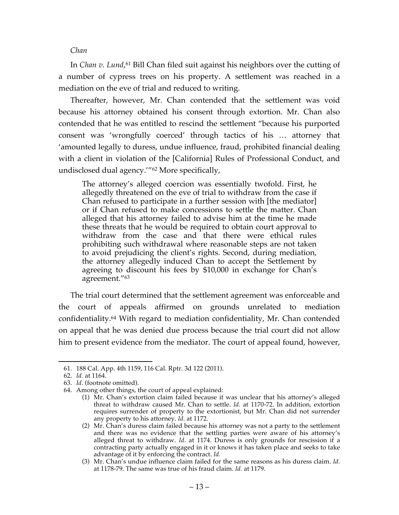#### *Chan*

In *Chan v. Lund*, <sup>61</sup> Bill Chan filed suit against his neighbors over the cutting of a number of cypress trees on his property. A settlement was reached in a mediation on the eve of trial and reduced to writing.

Thereafter, however, Mr. Chan contended that the settlement was void because his attorney obtained his consent through extortion. Mr. Chan also contended that he was entitled to rescind the settlement "because his purported consent was 'wrongfully coerced' through tactics of his … attorney that 'amounted legally to duress, undue influence, fraud, prohibited financial dealing with a client in violation of the [California] Rules of Professional Conduct, and undisclosed dual agency.'"62 More specifically,

The attorney's alleged coercion was essentially twofold. First, he allegedly threatened on the eve of trial to withdraw from the case if Chan refused to participate in a further session with [the mediator] or if Chan refused to make concessions to settle the matter. Chan alleged that his attorney failed to advise him at the time he made these threats that he would be required to obtain court approval to withdraw from the case and that there were ethical rules prohibiting such withdrawal where reasonable steps are not taken to avoid prejudicing the client's rights. Second, during mediation, the attorney allegedly induced Chan to accept the Settlement by agreeing to discount his fees by \$10,000 in exchange for Chan's agreement."63

The trial court determined that the settlement agreement was enforceable and the court of appeals affirmed on grounds unrelated to mediation confidentiality. <sup>64</sup> With regard to mediation confidentiality, Mr. Chan contended on appeal that he was denied due process because the trial court did not allow him to present evidence from the mediator. The court of appeal found, however,

 <sup>61.</sup> 188 Cal. App. 4th 1159, 116 Cal. Rptr. 3d 122 (2011).

<sup>62.</sup> *Id.* at 1164.

<sup>63.</sup> *Id.* (footnote omitted).

<sup>64.</sup> Among other things, the court of appeal explained:

<sup>(1)</sup> Mr. Chan's extortion claim failed because it was unclear that his attorney's alleged threat to withdraw caused Mr. Chan to settle. *Id.* at 1170-72. In addition, extortion requires surrender of property to the extortionist, but Mr. Chan did not surrender any property to his attorney. *Id.* at 1172.

<sup>(2)</sup> Mr. Chan's duress claim failed because his attorney was not a party to the settlement and there was no evidence that the settling parties were aware of his attorney's alleged threat to withdraw. *Id.* at 1174. Duress is only grounds for rescission if a contracting party actually engaged in it or knows it has taken place and seeks to take advantage of it by enforcing the contract. *Id.*

<sup>(3)</sup> Mr. Chan's undue influence claim failed for the same reasons as his duress claim. *Id.*  at 1178-79. The same was true of his fraud claim. *Id.* at 1179.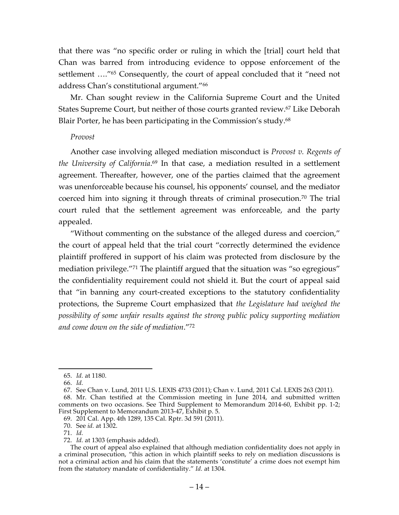that there was "no specific order or ruling in which the [trial] court held that Chan was barred from introducing evidence to oppose enforcement of the settlement …."65 Consequently, the court of appeal concluded that it "need not address Chan's constitutional argument."66

Mr. Chan sought review in the California Supreme Court and the United States Supreme Court, but neither of those courts granted review.67 Like Deborah Blair Porter, he has been participating in the Commission's study.<sup>68</sup>

#### *Provost*

Another case involving alleged mediation misconduct is *Provost v. Regents of the University of California*. <sup>69</sup> In that case, a mediation resulted in a settlement agreement. Thereafter, however, one of the parties claimed that the agreement was unenforceable because his counsel, his opponents' counsel, and the mediator coerced him into signing it through threats of criminal prosecution.70 The trial court ruled that the settlement agreement was enforceable, and the party appealed.

"Without commenting on the substance of the alleged duress and coercion," the court of appeal held that the trial court "correctly determined the evidence plaintiff proffered in support of his claim was protected from disclosure by the mediation privilege."<sup>71</sup> The plaintiff argued that the situation was "so egregious" the confidentiality requirement could not shield it. But the court of appeal said that "in banning any court-created exceptions to the statutory confidentiality protections, the Supreme Court emphasized that *the Legislature had weighed the possibility of some unfair results against the strong public policy supporting mediation and come down on the side of mediation*."72

72. *Id.* at 1303 (emphasis added).

 <sup>65.</sup> *Id.* at 1180.

<sup>66.</sup> *Id.*

<sup>67.</sup> See Chan v. Lund, 2011 U.S. LEXIS 4733 (2011); Chan v. Lund, 2011 Cal. LEXIS 263 (2011).

<sup>68.</sup> Mr. Chan testified at the Commission meeting in June 2014, and submitted written comments on two occasions. See Third Supplement to Memorandum 2014-60, Exhibit pp. 1-2; First Supplement to Memorandum 2013-47, Exhibit p. 5.

<sup>69.</sup> 201 Cal. App. 4th 1289, 135 Cal. Rptr. 3d 591 (2011).

<sup>70.</sup> See *id.* at 1302.

<sup>71.</sup> *Id.*

The court of appeal also explained that although mediation confidentiality does not apply in a criminal prosecution, "this action in which plaintiff seeks to rely on mediation discussions is not a criminal action and his claim that the statements 'constitute' a crime does not exempt him from the statutory mandate of confidentiality." *Id.* at 1304.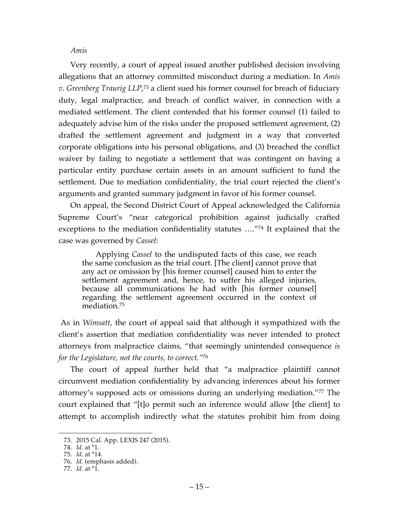#### *Amis*

Very recently, a court of appeal issued another published decision involving allegations that an attorney committed misconduct during a mediation. In *Amis v. Greenberg Traurig LLP*, <sup>73</sup> a client sued his former counsel for breach of fiduciary duty, legal malpractice, and breach of conflict waiver, in connection with a mediated settlement. The client contended that his former counsel (1) failed to adequately advise him of the risks under the proposed settlement agreement, (2) drafted the settlement agreement and judgment in a way that converted corporate obligations into his personal obligations, and (3) breached the conflict waiver by failing to negotiate a settlement that was contingent on having a particular entity purchase certain assets in an amount sufficient to fund the settlement. Due to mediation confidentiality, the trial court rejected the client's arguments and granted summary judgment in favor of his former counsel.

On appeal, the Second District Court of Appeal acknowledged the California Supreme Court's "near categorical prohibition against judicially crafted exceptions to the mediation confidentiality statutes …."74 It explained that the case was governed by *Cassel*:

Applying *Cassel* to the undisputed facts of this case, we reach the same conclusion as the trial court. [The client] cannot prove that any act or omission by [his former counsel] caused him to enter the settlement agreement and, hence, to suffer his alleged injuries, because all communications he had with [his former counsel] regarding the settlement agreement occurred in the context of mediation.75

As in *Wimsatt*, the court of appeal said that although it sympathized with the client's assertion that mediation confidentiality was never intended to protect attorneys from malpractice claims, "that seemingly unintended consequence *is for the Legislature, not the courts, to correct."*<sup>76</sup>

The court of appeal further held that "a malpractice plaintiff cannot circumvent mediation confidentiality by advancing inferences about his former attorney's supposed acts or omissions during an underlying mediation."77 The court explained that "[t]o permit such an inference would allow [the client] to attempt to accomplish indirectly what the statutes prohibit him from doing

 <sup>73.</sup> 2015 Cal. App. LEXIS 247 (2015).

<sup>74.</sup> *Id.* at \*1.

<sup>75.</sup> *Id.* at \*14.

<sup>76.</sup> *Id.* (emphasis added).

<sup>77.</sup> *Id.* at \*1.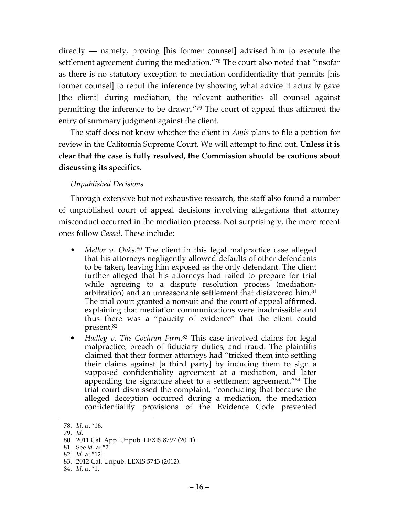directly — namely, proving [his former counsel] advised him to execute the settlement agreement during the mediation."78 The court also noted that "insofar as there is no statutory exception to mediation confidentiality that permits [his former counsel] to rebut the inference by showing what advice it actually gave [the client] during mediation, the relevant authorities all counsel against permitting the inference to be drawn."79 The court of appeal thus affirmed the entry of summary judgment against the client.

The staff does not know whether the client in *Amis* plans to file a petition for review in the California Supreme Court. We will attempt to find out. **Unless it is clear that the case is fully resolved, the Commission should be cautious about discussing its specifics.**

### *Unpublished Decisions*

Through extensive but not exhaustive research, the staff also found a number of unpublished court of appeal decisions involving allegations that attorney misconduct occurred in the mediation process. Not surprisingly, the more recent ones follow *Cassel*. These include:

- *Mellor v. Oaks.*<sup>80</sup> The client in this legal malpractice case alleged that his attorneys negligently allowed defaults of other defendants to be taken, leaving him exposed as the only defendant. The client further alleged that his attorneys had failed to prepare for trial while agreeing to a dispute resolution process (mediationarbitration) and an unreasonable settlement that disfavored him.<sup>81</sup> The trial court granted a nonsuit and the court of appeal affirmed, explaining that mediation communications were inadmissible and thus there was a "paucity of evidence" that the client could present.82
- *• Hadley v. The Cochran Firm.*<sup>83</sup> This case involved claims for legal malpractice, breach of fiduciary duties, and fraud. The plaintiffs claimed that their former attorneys had "tricked them into settling their claims against [a third party] by inducing them to sign a supposed confidentiality agreement at a mediation, and later appending the signature sheet to a settlement agreement."84 The trial court dismissed the complaint, "concluding that because the alleged deception occurred during a mediation, the mediation confidentiality provisions of the Evidence Code prevented

 <sup>78.</sup> *Id.* at \*16.

<sup>79.</sup> *Id.*

<sup>80.</sup> 2011 Cal. App. Unpub. LEXIS 8797 (2011).

<sup>81.</sup> See *id.* at \*2.

<sup>82.</sup> *Id.* at \*12.

<sup>83.</sup> 2012 Cal. Unpub. LEXIS 5743 (2012).

<sup>84.</sup> *Id.* at \*1.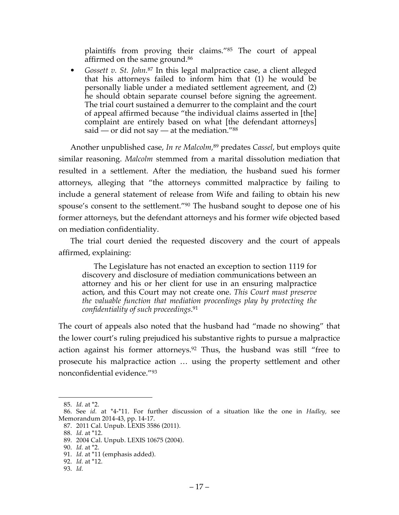plaintiffs from proving their claims."85 The court of appeal affirmed on the same ground.86

*• Gossett v. St. John.*<sup>87</sup> In this legal malpractice case, a client alleged that his attorneys failed to inform him that (1) he would be personally liable under a mediated settlement agreement, and (2) he should obtain separate counsel before signing the agreement. The trial court sustained a demurrer to the complaint and the court of appeal affirmed because "the individual claims asserted in [the] complaint are entirely based on what [the defendant attorneys] said — or did not say — at the mediation." $88$ 

Another unpublished case, *In re Malcolm,*<sup>89</sup> predates *Cassel*, but employs quite similar reasoning. *Malcolm* stemmed from a marital dissolution mediation that resulted in a settlement. After the mediation, the husband sued his former attorneys, alleging that "the attorneys committed malpractice by failing to include a general statement of release from Wife and failing to obtain his new spouse's consent to the settlement."90 The husband sought to depose one of his former attorneys, but the defendant attorneys and his former wife objected based on mediation confidentiality.

The trial court denied the requested discovery and the court of appeals affirmed, explaining:

The Legislature has not enacted an exception to section 1119 for discovery and disclosure of mediation communications between an attorney and his or her client for use in an ensuring malpractice action, and this Court may not create one. *This Court must preserve the valuable function that mediation proceedings play by protecting the confidentiality of such proceedings*. 91

The court of appeals also noted that the husband had "made no showing" that the lower court's ruling prejudiced his substantive rights to pursue a malpractice action against his former attorneys.<sup>92</sup> Thus, the husband was still "free to prosecute his malpractice action … using the property settlement and other nonconfidential evidence."93

 <sup>85.</sup> *Id.* at \*2.

<sup>86.</sup> See *id.* at \*4-\*11. For further discussion of a situation like the one in *Hadley,* see Memorandum 2014-43, pp. 14-17.

<sup>87.</sup> 2011 Cal. Unpub. LEXIS 3586 (2011).

<sup>88.</sup> *Id.* at \*12.

<sup>89.</sup> 2004 Cal. Unpub. LEXIS 10675 (2004).

<sup>90.</sup> *Id.* at \*2.

<sup>91.</sup> *Id.* at \*11 (emphasis added).

<sup>92.</sup> *Id.* at \*12.

<sup>93.</sup> *Id.*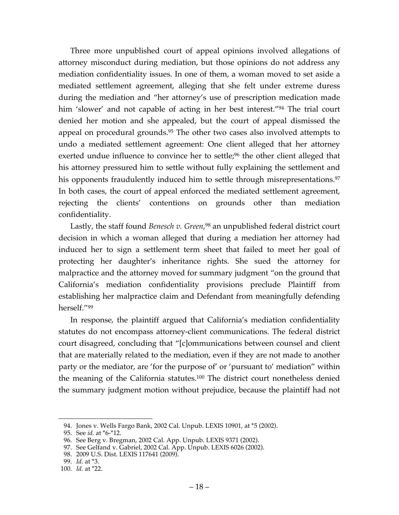Three more unpublished court of appeal opinions involved allegations of attorney misconduct during mediation, but those opinions do not address any mediation confidentiality issues. In one of them, a woman moved to set aside a mediated settlement agreement, alleging that she felt under extreme duress during the mediation and "her attorney's use of prescription medication made him 'slower' and not capable of acting in her best interest."<sup>94</sup> The trial court denied her motion and she appealed, but the court of appeal dismissed the appeal on procedural grounds.95 The other two cases also involved attempts to undo a mediated settlement agreement: One client alleged that her attorney exerted undue influence to convince her to settle;<sup>96</sup> the other client alleged that his attorney pressured him to settle without fully explaining the settlement and his opponents fraudulently induced him to settle through misrepresentations. 97 In both cases, the court of appeal enforced the mediated settlement agreement, rejecting the clients' contentions on grounds other than mediation confidentiality.

Lastly, the staff found *Benesch v. Green*, <sup>98</sup> an unpublished federal district court decision in which a woman alleged that during a mediation her attorney had induced her to sign a settlement term sheet that failed to meet her goal of protecting her daughter's inheritance rights. She sued the attorney for malpractice and the attorney moved for summary judgment "on the ground that California's mediation confidentiality provisions preclude Plaintiff from establishing her malpractice claim and Defendant from meaningfully defending herself."99

In response, the plaintiff argued that California's mediation confidentiality statutes do not encompass attorney-client communications. The federal district court disagreed, concluding that "[c]ommunications between counsel and client that are materially related to the mediation, even if they are not made to another party or the mediator, are 'for the purpose of' or 'pursuant to' mediation" within the meaning of the California statutes.100 The district court nonetheless denied the summary judgment motion without prejudice, because the plaintiff had not

 <sup>94.</sup> Jones v. Wells Fargo Bank, 2002 Cal. Unpub. LEXIS 10901, at \*5 (2002).

<sup>95.</sup> See *id.* at \*6-\*12.

<sup>96.</sup> See Berg v. Bregman, 2002 Cal. App. Unpub. LEXIS 9371 (2002).

<sup>97.</sup> See Gelfand v. Gabriel, 2002 Cal. App. Unpub. LEXIS 6026 (2002).

<sup>98.</sup> 2009 U.S. Dist. LEXIS 117641 (2009).

<sup>99.</sup> *Id.* at \*3.

<sup>100.</sup> *Id.* at \*22.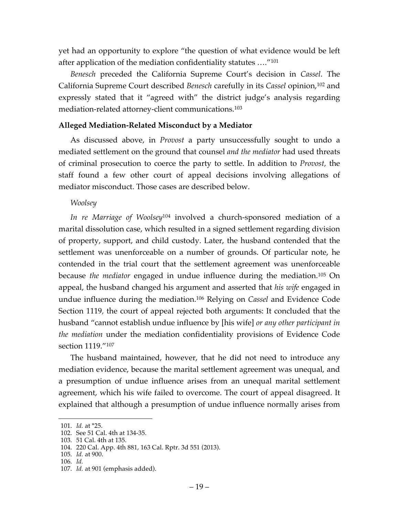yet had an opportunity to explore "the question of what evidence would be left after application of the mediation confidentiality statutes …."101

*Benesch* preceded the California Supreme Court's decision in *Cassel*. The California Supreme Court described *Benesch* carefully in its *Cassel* opinion,102 and expressly stated that it "agreed with" the district judge's analysis regarding mediation-related attorney-client communications.103

### **Alleged Mediation-Related Misconduct by a Mediator**

As discussed above, in *Provost* a party unsuccessfully sought to undo a mediated settlement on the ground that counsel *and the mediator* had used threats of criminal prosecution to coerce the party to settle. In addition to *Provost,* the staff found a few other court of appeal decisions involving allegations of mediator misconduct. Those cases are described below.

### *Woolsey*

*In re Marriage of Woolsey*<sup>104</sup> involved a church-sponsored mediation of a marital dissolution case, which resulted in a signed settlement regarding division of property, support, and child custody. Later, the husband contended that the settlement was unenforceable on a number of grounds. Of particular note, he contended in the trial court that the settlement agreement was unenforceable because *the mediator* engaged in undue influence during the mediation.105 On appeal, the husband changed his argument and asserted that *his wife* engaged in undue influence during the mediation.106 Relying on *Cassel* and Evidence Code Section 1119*,* the court of appeal rejected both arguments: It concluded that the husband "cannot establish undue influence by [his wife] *or any other participant in the mediation* under the mediation confidentiality provisions of Evidence Code section 1119."107

The husband maintained, however, that he did not need to introduce any mediation evidence, because the marital settlement agreement was unequal, and a presumption of undue influence arises from an unequal marital settlement agreement, which his wife failed to overcome. The court of appeal disagreed. It explained that although a presumption of undue influence normally arises from

 <sup>101.</sup> *Id.* at \*25.

<sup>102.</sup> See 51 Cal. 4th at 134-35.

<sup>103.</sup> 51 Cal. 4th at 135.

<sup>104.</sup> 220 Cal. App. 4th 881, 163 Cal. Rptr. 3d 551 (2013).

<sup>105.</sup> *Id.* at 900.

<sup>106.</sup> *Id.*

<sup>107.</sup> *Id.* at 901 (emphasis added).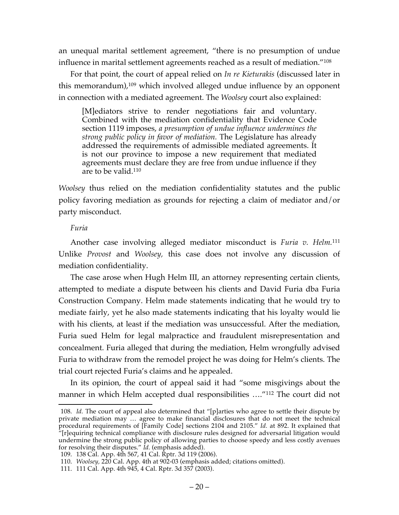an unequal marital settlement agreement, "there is no presumption of undue influence in marital settlement agreements reached as a result of mediation."108

For that point, the court of appeal relied on *In re Kieturakis* (discussed later in this memorandum),109 which involved alleged undue influence by an opponent in connection with a mediated agreement. The *Woolsey* court also explained:

[M]ediators strive to render negotiations fair and voluntary. Combined with the mediation confidentiality that Evidence Code section 1119 imposes, *a presumption of undue influence undermines the strong public policy in favor of mediation.* The Legislature has already addressed the requirements of admissible mediated agreements. It is not our province to impose a new requirement that mediated agreements must declare they are free from undue influence if they are to be valid.110

*Woolsey* thus relied on the mediation confidentiality statutes and the public policy favoring mediation as grounds for rejecting a claim of mediator and/or party misconduct.

#### *Furia*

Another case involving alleged mediator misconduct is *Furia v. Helm.*<sup>111</sup> Unlike *Provost* and *Woolsey,* this case does not involve any discussion of mediation confidentiality.

The case arose when Hugh Helm III, an attorney representing certain clients, attempted to mediate a dispute between his clients and David Furia dba Furia Construction Company. Helm made statements indicating that he would try to mediate fairly, yet he also made statements indicating that his loyalty would lie with his clients, at least if the mediation was unsuccessful. After the mediation, Furia sued Helm for legal malpractice and fraudulent misrepresentation and concealment. Furia alleged that during the mediation, Helm wrongfully advised Furia to withdraw from the remodel project he was doing for Helm's clients. The trial court rejected Furia's claims and he appealed.

In its opinion, the court of appeal said it had "some misgivings about the manner in which Helm accepted dual responsibilities …."112 The court did not

<sup>108.</sup> *Id.* The court of appeal also determined that "[p]arties who agree to settle their dispute by private mediation may … agree to make financial disclosures that do not meet the technical procedural requirements of [Family Code] sections 2104 and 2105." *Id.* at 892. It explained that "[r]equiring technical compliance with disclosure rules designed for adversarial litigation would undermine the strong public policy of allowing parties to choose speedy and less costly avenues for resolving their disputes." *Id.* (emphasis added).

<sup>109.</sup> 138 Cal. App. 4th 567, 41 Cal. Rptr. 3d 119 (2006).

<sup>110.</sup> *Woolsey,* 220 Cal. App. 4th at 902-03 (emphasis added; citations omitted).

<sup>111.</sup> 111 Cal. App. 4th 945, 4 Cal. Rptr. 3d 357 (2003).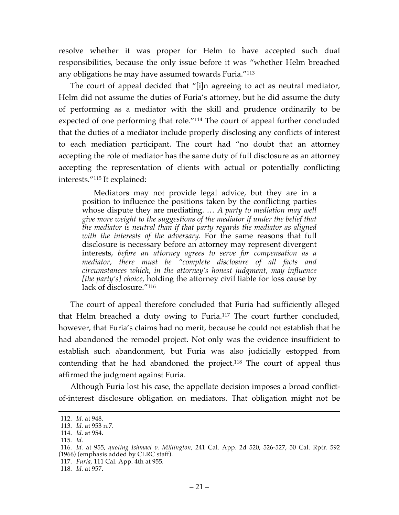resolve whether it was proper for Helm to have accepted such dual responsibilities, because the only issue before it was "whether Helm breached any obligations he may have assumed towards Furia."113

The court of appeal decided that "[i]n agreeing to act as neutral mediator, Helm did not assume the duties of Furia's attorney, but he did assume the duty of performing as a mediator with the skill and prudence ordinarily to be expected of one performing that role."114 The court of appeal further concluded that the duties of a mediator include properly disclosing any conflicts of interest to each mediation participant. The court had "no doubt that an attorney accepting the role of mediator has the same duty of full disclosure as an attorney accepting the representation of clients with actual or potentially conflicting interests."115 It explained:

Mediators may not provide legal advice, but they are in a position to influence the positions taken by the conflicting parties whose dispute they are mediating. … *A party to mediation may well give more weight to the suggestions of the mediator if under the belief that the mediator is neutral than if that party regards the mediator as aligned with the interests of the adversary.* For the same reasons that full disclosure is necessary before an attorney may represent divergent interests, *before an attorney agrees to serve for compensation as a mediator, there must be "complete disclosure of all facts and circumstances which, in the attorney's honest judgment, may influence [the party's] choice,* holding the attorney civil liable for loss cause by lack of disclosure."<sup>116</sup>

The court of appeal therefore concluded that Furia had sufficiently alleged that Helm breached a duty owing to Furia.117 The court further concluded, however, that Furia's claims had no merit, because he could not establish that he had abandoned the remodel project. Not only was the evidence insufficient to establish such abandonment, but Furia was also judicially estopped from contending that he had abandoned the project. <sup>118</sup> The court of appeal thus affirmed the judgment against Furia.

Although Furia lost his case, the appellate decision imposes a broad conflictof-interest disclosure obligation on mediators. That obligation might not be

 <sup>112.</sup> *Id.* at 948.

<sup>113.</sup> *Id.* at 953 n.7.

<sup>114.</sup> *Id.* at 954.

<sup>115.</sup> *Id.*

<sup>116.</sup> *Id.* at 955, *quoting Ishmael v. Millington,* 241 Cal. App. 2d 520, 526-527, 50 Cal. Rptr. 592 (1966) (emphasis added by CLRC staff).

<sup>117.</sup> *Furia,* 111 Cal. App. 4th at 955*.*

<sup>118.</sup> *Id.* at 957.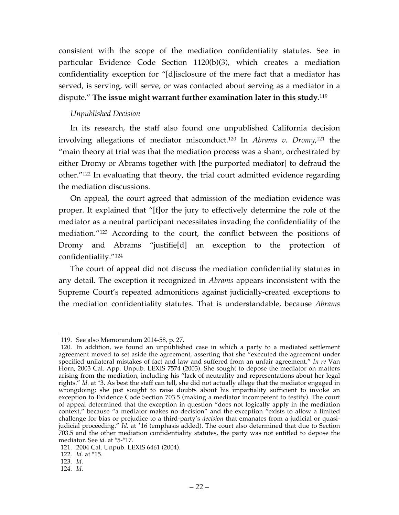consistent with the scope of the mediation confidentiality statutes. See in particular Evidence Code Section 1120(b)(3), which creates a mediation confidentiality exception for "[d]isclosure of the mere fact that a mediator has served, is serving, will serve, or was contacted about serving as a mediator in a dispute." **The issue might warrant further examination later in this study.**<sup>119</sup>

### *Unpublished Decision*

In its research, the staff also found one unpublished California decision involving allegations of mediator misconduct.120 In *Abrams v. Dromy*, <sup>121</sup> the "main theory at trial was that the mediation process was a sham, orchestrated by either Dromy or Abrams together with [the purported mediator] to defraud the other."122 In evaluating that theory, the trial court admitted evidence regarding the mediation discussions.

On appeal, the court agreed that admission of the mediation evidence was proper. It explained that "[f]or the jury to effectively determine the role of the mediator as a neutral participant necessitates invading the confidentiality of the mediation."123 According to the court, the conflict between the positions of Dromy and Abrams "justifie[d] an exception to the protection of confidentiality."124

The court of appeal did not discuss the mediation confidentiality statutes in any detail. The exception it recognized in *Abrams* appears inconsistent with the Supreme Court's repeated admonitions against judicially-created exceptions to the mediation confidentiality statutes. That is understandable, because *Abrams*

122. *Id.* at \*15.

 <sup>119.</sup> See also Memorandum 2014-58, p. 27.

<sup>120.</sup> In addition, we found an unpublished case in which a party to a mediated settlement agreement moved to set aside the agreement, asserting that she "executed the agreement under specified unilateral mistakes of fact and law and suffered from an unfair agreement." *In re* Van Horn, 2003 Cal. App. Unpub. LEXIS 7574 (2003). She sought to depose the mediator on matters arising from the mediation, including his "lack of neutrality and representations about her legal rights." *Id.* at \*3. As best the staff can tell, she did not actually allege that the mediator engaged in wrongdoing; she just sought to raise doubts about his impartiality sufficient to invoke an exception to Evidence Code Section 703.5 (making a mediator incompetent to testify). The court of appeal determined that the exception in question "does not logically apply in the mediation context," because "a mediator makes no decision" and the exception "exists to allow a limited challenge for bias or prejudice to a third-party's *decision* that emanates from a judicial or quasijudicial proceeding." *Id.* at \*16 (emphasis added). The court also determined that due to Section 703.5 and the other mediation confidentiality statutes, the party was not entitled to depose the mediator. See *id.* at \*5-\*17.

<sup>121.</sup> 2004 Cal. Unpub. LEXIS 6461 (2004).

<sup>123.</sup> *Id.*

<sup>124.</sup> *Id.*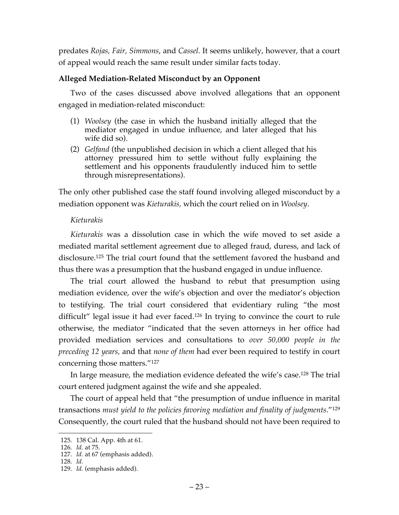predates *Rojas, Fair, Simmons*, and *Cassel.* It seems unlikely, however, that a court of appeal would reach the same result under similar facts today.

### **Alleged Mediation-Related Misconduct by an Opponent**

Two of the cases discussed above involved allegations that an opponent engaged in mediation-related misconduct:

- (1) *Woolsey* (the case in which the husband initially alleged that the mediator engaged in undue influence, and later alleged that his wife did so).
- (2) *Gelfand* (the unpublished decision in which a client alleged that his attorney pressured him to settle without fully explaining the settlement and his opponents fraudulently induced him to settle through misrepresentations).

The only other published case the staff found involving alleged misconduct by a mediation opponent was *Kieturakis,* which the court relied on in *Woolsey*.

### *Kieturakis*

*Kieturakis* was a dissolution case in which the wife moved to set aside a mediated marital settlement agreement due to alleged fraud, duress, and lack of disclosure.125 The trial court found that the settlement favored the husband and thus there was a presumption that the husband engaged in undue influence.

The trial court allowed the husband to rebut that presumption using mediation evidence, over the wife's objection and over the mediator's objection to testifying. The trial court considered that evidentiary ruling "the most difficult" legal issue it had ever faced. <sup>126</sup> In trying to convince the court to rule otherwise, the mediator "indicated that the seven attorneys in her office had provided mediation services and consultations to *over 50,000 people in the preceding 12 years,* and that *none of them* had ever been required to testify in court concerning those matters."127

In large measure, the mediation evidence defeated the wife's case.128 The trial court entered judgment against the wife and she appealed.

The court of appeal held that "the presumption of undue influence in marital transactions *must yield to the policies favoring mediation and finality of judgments*."129 Consequently, the court ruled that the husband should not have been required to

 <sup>125.</sup> 138 Cal. App. 4th at 61.

<sup>126.</sup> *Id.* at 75.

<sup>127.</sup> *Id.* at 67 (emphasis added).

<sup>128.</sup> *Id.*

<sup>129.</sup> *Id.* (emphasis added).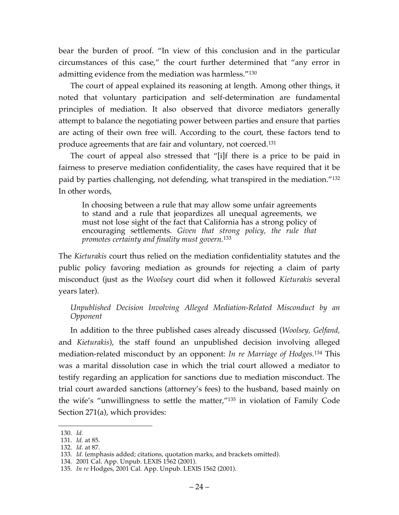bear the burden of proof. "In view of this conclusion and in the particular circumstances of this case," the court further determined that "any error in admitting evidence from the mediation was harmless."130

The court of appeal explained its reasoning at length. Among other things, it noted that voluntary participation and self-determination are fundamental principles of mediation. It also observed that divorce mediators generally attempt to balance the negotiating power between parties and ensure that parties are acting of their own free will. According to the court, these factors tend to produce agreements that are fair and voluntary, not coerced.131

The court of appeal also stressed that "[i]f there is a price to be paid in fairness to preserve mediation confidentiality, the cases have required that it be paid by parties challenging, not defending, what transpired in the mediation."132 In other words,

In choosing between a rule that may allow some unfair agreements to stand and a rule that jeopardizes all unequal agreements, we must not lose sight of the fact that California has a strong policy of encouraging settlements. *Given that strong policy, the rule that promotes certainty and finality must govern.*<sup>133</sup>

The *Kieturakis* court thus relied on the mediation confidentiality statutes and the public policy favoring mediation as grounds for rejecting a claim of party misconduct (just as the *Woolsey* court did when it followed *Kieturakis* several years later).

*Unpublished Decision Involving Alleged Mediation-Related Misconduct by an Opponent*

In addition to the three published cases already discussed (*Woolsey, Gelfand,* and *Kieturakis*), the staff found an unpublished decision involving alleged mediation-related misconduct by an opponent: *In re Marriage of Hodges.*<sup>134</sup> This was a marital dissolution case in which the trial court allowed a mediator to testify regarding an application for sanctions due to mediation misconduct. The trial court awarded sanctions (attorney's fees) to the husband, based mainly on the wife's "unwillingness to settle the matter,"135 in violation of Family Code Section 271(a), which provides:

 <sup>130.</sup> *Id.*

<sup>131.</sup> *Id.* at 85.

<sup>132.</sup> *Id.* at 87.

<sup>133.</sup> *Id.* (emphasis added; citations, quotation marks, and brackets omitted).

<sup>134.</sup> 2001 Cal. App. Unpub. LEXIS 1562 (2001).

<sup>135.</sup> *In re* Hodges, 2001 Cal. App. Unpub. LEXIS 1562 (2001).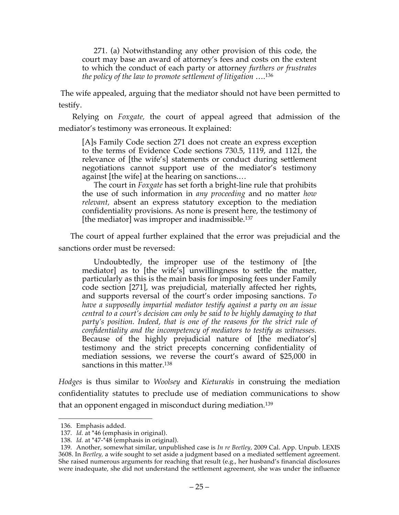271. (a) Notwithstanding any other provision of this code, the court may base an award of attorney's fees and costs on the extent to which the conduct of each party or attorney *furthers or frustrates the policy of the law to promote settlement of litigation* ….136

The wife appealed, arguing that the mediator should not have been permitted to testify.

Relying on *Foxgate,* the court of appeal agreed that admission of the mediator's testimony was erroneous. It explained:

[A]s Family Code section 271 does not create an express exception to the terms of Evidence Code sections 730.5, 1119, and 1121, the relevance of [the wife's] statements or conduct during settlement negotiations cannot support use of the mediator's testimony against [the wife] at the hearing on sanctions.…

The court in *Foxgate* has set forth a bright-line rule that prohibits the use of such information in *any proceeding* and no matter *how relevant,* absent an express statutory exception to the mediation confidentiality provisions. As none is present here, the testimony of [the mediator] was improper and inadmissible.<sup>137</sup>

The court of appeal further explained that the error was prejudicial and the sanctions order must be reversed:

Undoubtedly, the improper use of the testimony of [the mediator] as to [the wife's] unwillingness to settle the matter, particularly as this is the main basis for imposing fees under Family code section [271], was prejudicial, materially affected her rights, and supports reversal of the court's order imposing sanctions. *To have a supposedly impartial mediator testify against a party on an issue central to a court's decision can only be said to be highly damaging to that*  party's position. Indeed, that is one of the reasons for the strict rule of *confidentiality and the incompetency of mediators to testify as witnesses.* Because of the highly prejudicial nature of [the mediator's] testimony and the strict precepts concerning confidentiality of mediation sessions, we reverse the court's award of \$25,000 in sanctions in this matter.<sup>138</sup>

*Hodges* is thus similar to *Woolsey* and *Kieturakis* in construing the mediation confidentiality statutes to preclude use of mediation communications to show that an opponent engaged in misconduct during mediation.139

 <sup>136.</sup> Emphasis added.

<sup>137.</sup> *Id.* at \*46 (emphasis in original).

<sup>138.</sup> *Id.* at \*47-\*48 (emphasis in original).

<sup>139.</sup> Another, somewhat similar, unpublished case is *In re Beetley,* 2009 Cal. App. Unpub. LEXIS 3608. In *Beetley,* a wife sought to set aside a judgment based on a mediated settlement agreement. She raised numerous arguments for reaching that result (e.g., her husband's financial disclosures were inadequate, she did not understand the settlement agreement, she was under the influence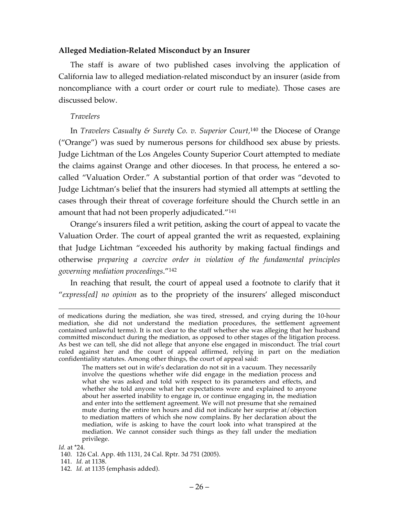#### **Alleged Mediation-Related Misconduct by an Insurer**

The staff is aware of two published cases involving the application of California law to alleged mediation-related misconduct by an insurer (aside from noncompliance with a court order or court rule to mediate). Those cases are discussed below.

#### *Travelers*

In *Travelers Casualty & Surety Co. v. Superior Court,* <sup>140</sup> the Diocese of Orange ("Orange") was sued by numerous persons for childhood sex abuse by priests. Judge Lichtman of the Los Angeles County Superior Court attempted to mediate the claims against Orange and other dioceses. In that process, he entered a socalled "Valuation Order." A substantial portion of that order was "devoted to Judge Lichtman's belief that the insurers had stymied all attempts at settling the cases through their threat of coverage forfeiture should the Church settle in an amount that had not been properly adjudicated."<sup>141</sup>

Orange's insurers filed a writ petition, asking the court of appeal to vacate the Valuation Order. The court of appeal granted the writ as requested, explaining that Judge Lichtman "exceeded his authority by making factual findings and otherwise *preparing a coercive order in violation of the fundamental principles governing mediation proceedings*."142

In reaching that result, the court of appeal used a footnote to clarify that it "*express[ed] no opinion* as to the propriety of the insurers' alleged misconduct

The matters set out in wife's declaration do not sit in a vacuum. They necessarily involve the questions whether wife did engage in the mediation process and what she was asked and told with respect to its parameters and effects, and whether she told anyone what her expectations were and explained to anyone about her asserted inability to engage in, or continue engaging in, the mediation and enter into the settlement agreement. We will not presume that she remained mute during the entire ten hours and did not indicate her surprise at/objection to mediation matters of which she now complains. By her declaration about the mediation, wife is asking to have the court look into what transpired at the mediation. We cannot consider such things as they fall under the mediation privilege.

*Id.* at \*24.

of medications during the mediation, she was tired, stressed, and crying during the 10-hour mediation, she did not understand the mediation procedures, the settlement agreement contained unlawful terms). It is not clear to the staff whether she was alleging that her husband committed misconduct during the mediation, as opposed to other stages of the litigation process. As best we can tell, she did not allege that anyone else engaged in misconduct. The trial court ruled against her and the court of appeal affirmed, relying in part on the mediation confidentiality statutes. Among other things, the court of appeal said:

<sup>140.</sup> 126 Cal. App. 4th 1131, 24 Cal. Rptr. 3d 751 (2005).

<sup>141.</sup> *Id.* at 1138.

<sup>142.</sup> *Id.* at 1135 (emphasis added).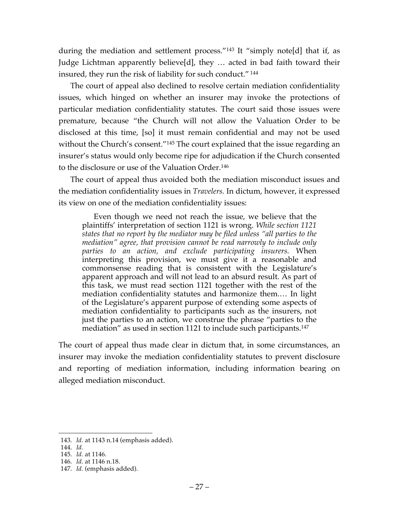during the mediation and settlement process."143 It "simply note[d] that if, as Judge Lichtman apparently believe[d], they … acted in bad faith toward their insured, they run the risk of liability for such conduct." <sup>144</sup>

The court of appeal also declined to resolve certain mediation confidentiality issues, which hinged on whether an insurer may invoke the protections of particular mediation confidentiality statutes. The court said those issues were premature, because "the Church will not allow the Valuation Order to be disclosed at this time, [so] it must remain confidential and may not be used without the Church's consent."<sup>145</sup> The court explained that the issue regarding an insurer's status would only become ripe for adjudication if the Church consented to the disclosure or use of the Valuation Order.146

The court of appeal thus avoided both the mediation misconduct issues and the mediation confidentiality issues in *Travelers.* In dictum, however, it expressed its view on one of the mediation confidentiality issues:

Even though we need not reach the issue, we believe that the plaintiffs' interpretation of section 1121 is wrong. *While section 1121 states that no report by the mediator may be filed unless "all parties to the mediation" agree, that provision cannot be read narrowly to include only parties to an action, and exclude participating insurers.* When interpreting this provision, we must give it a reasonable and commonsense reading that is consistent with the Legislature's apparent approach and will not lead to an absurd result. As part of this task, we must read section 1121 together with the rest of the mediation confidentiality statutes and harmonize them.… In light of the Legislature's apparent purpose of extending some aspects of mediation confidentiality to participants such as the insurers, not just the parties to an action, we construe the phrase "parties to the mediation" as used in section 1121 to include such participants.<sup>147</sup>

The court of appeal thus made clear in dictum that, in some circumstances, an insurer may invoke the mediation confidentiality statutes to prevent disclosure and reporting of mediation information, including information bearing on alleged mediation misconduct.

 <sup>143.</sup> *Id.* at 1143 n.14 (emphasis added).

<sup>144.</sup> *Id.*

<sup>145.</sup> *Id.* at 1146.

<sup>146.</sup> *Id.* at 1146 n.18.

<sup>147.</sup> *Id.* (emphasis added).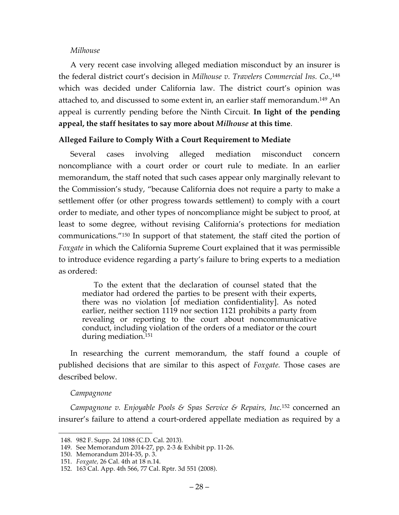#### *Milhouse*

A very recent case involving alleged mediation misconduct by an insurer is the federal district court's decision in *Milhouse v. Travelers Commercial Ins. Co.,* 148 which was decided under California law. The district court's opinion was attached to, and discussed to some extent in, an earlier staff memorandum.149 An appeal is currently pending before the Ninth Circuit. **In light of the pending appeal, the staff hesitates to say more about** *Milhouse* **at this time**.

### **Alleged Failure to Comply With a Court Requirement to Mediate**

Several cases involving alleged mediation misconduct concern noncompliance with a court order or court rule to mediate. In an earlier memorandum, the staff noted that such cases appear only marginally relevant to the Commission's study, "because California does not require a party to make a settlement offer (or other progress towards settlement) to comply with a court order to mediate, and other types of noncompliance might be subject to proof, at least to some degree, without revising California's protections for mediation communications."150 In support of that statement, the staff cited the portion of *Foxgate* in which the California Supreme Court explained that it was permissible to introduce evidence regarding a party's failure to bring experts to a mediation as ordered:

To the extent that the declaration of counsel stated that the mediator had ordered the parties to be present with their experts, there was no violation [of mediation confidentiality]. As noted earlier, neither section 1119 nor section 1121 prohibits a party from revealing or reporting to the court about noncommunicative conduct, including violation of the orders of a mediator or the court during mediation.151

In researching the current memorandum, the staff found a couple of published decisions that are similar to this aspect of *Foxgate.* Those cases are described below.

#### *Campagnone*

*Campagnone v. Enjoyable Pools & Spas Service & Repairs, Inc.*<sup>152</sup> concerned an insurer's failure to attend a court-ordered appellate mediation as required by a

 <sup>148.</sup> 982 F. Supp. 2d 1088 (C.D. Cal. 2013).

<sup>149.</sup> See Memorandum 2014-27, pp. 2-3 & Exhibit pp. 11-26.

<sup>150.</sup> Memorandum 2014-35, p. 3.

<sup>151.</sup> *Foxgate,* 26 Cal. 4th at 18 n.14.

<sup>152.</sup> 163 Cal. App. 4th 566, 77 Cal. Rptr. 3d 551 (2008).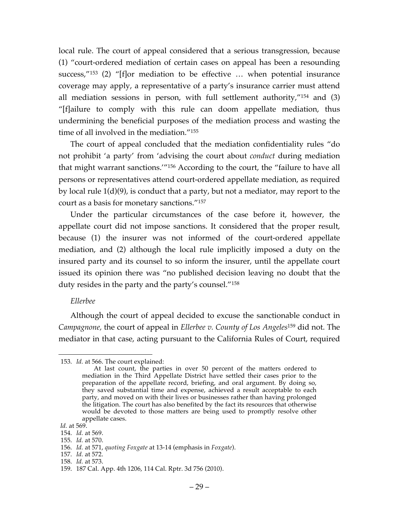local rule. The court of appeal considered that a serious transgression, because (1) "court-ordered mediation of certain cases on appeal has been a resounding success,"153 (2) "[f]or mediation to be effective … when potential insurance coverage may apply, a representative of a party's insurance carrier must attend all mediation sessions in person, with full settlement authority,"154 and (3) "[f]ailure to comply with this rule can doom appellate mediation, thus undermining the beneficial purposes of the mediation process and wasting the time of all involved in the mediation."155

The court of appeal concluded that the mediation confidentiality rules "do not prohibit 'a party' from 'advising the court about *conduct* during mediation that might warrant sanctions.'"156 According to the court, the "failure to have all persons or representatives attend court-ordered appellate mediation, as required by local rule 1(d)(9), is conduct that a party, but not a mediator, may report to the court as a basis for monetary sanctions."157

Under the particular circumstances of the case before it, however, the appellate court did not impose sanctions. It considered that the proper result, because (1) the insurer was not informed of the court-ordered appellate mediation, and (2) although the local rule implicitly imposed a duty on the insured party and its counsel to so inform the insurer, until the appellate court issued its opinion there was "no published decision leaving no doubt that the duty resides in the party and the party's counsel."158

#### *Ellerbee*

Although the court of appeal decided to excuse the sanctionable conduct in *Campagnone,* the court of appeal in *Ellerbee v. County of Los Angeles*<sup>159</sup> did not. The mediator in that case, acting pursuant to the California Rules of Court, required

- 154. *Id.* at 569.
- 155. *Id.* at 570.

- 157. *Id.* at 572.
- 158. *Id.* at 573.

 <sup>153.</sup> *Id.* at 566. The court explained:

At last count, the parties in over 50 percent of the matters ordered to mediation in the Third Appellate District have settled their cases prior to the preparation of the appellate record, briefing, and oral argument. By doing so, they saved substantial time and expense, achieved a result acceptable to each party, and moved on with their lives or businesses rather than having prolonged the litigation. The court has also benefited by the fact its resources that otherwise would be devoted to those matters are being used to promptly resolve other appellate cases.

*Id.* at 569.

<sup>156.</sup> *Id.* at 571, *quoting Foxgate* at 13-14 (emphasis in *Foxgate*).

<sup>159.</sup> 187 Cal. App. 4th 1206, 114 Cal. Rptr. 3d 756 (2010).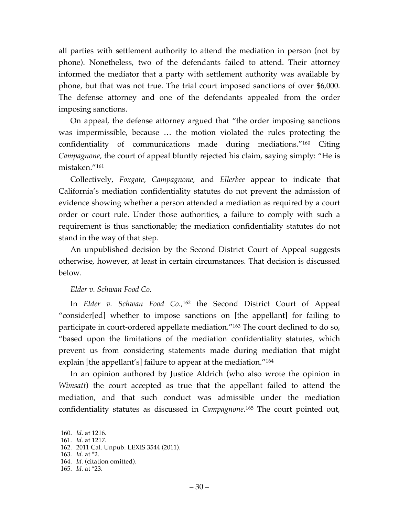all parties with settlement authority to attend the mediation in person (not by phone). Nonetheless, two of the defendants failed to attend. Their attorney informed the mediator that a party with settlement authority was available by phone, but that was not true. The trial court imposed sanctions of over \$6,000. The defense attorney and one of the defendants appealed from the order imposing sanctions.

On appeal, the defense attorney argued that "the order imposing sanctions was impermissible, because … the motion violated the rules protecting the confidentiality of communications made during mediations."160 Citing *Campagnone,* the court of appeal bluntly rejected his claim, saying simply: "He is mistaken."161

Collectively, *Foxgate, Campagnone,* and *Ellerbee* appear to indicate that California's mediation confidentiality statutes do not prevent the admission of evidence showing whether a person attended a mediation as required by a court order or court rule. Under those authorities, a failure to comply with such a requirement is thus sanctionable; the mediation confidentiality statutes do not stand in the way of that step.

An unpublished decision by the Second District Court of Appeal suggests otherwise, however, at least in certain circumstances. That decision is discussed below.

### *Elder v. Schwan Food Co.*

In *Elder v. Schwan Food Co.,*<sup>162</sup> the Second District Court of Appeal "consider[ed] whether to impose sanctions on [the appellant] for failing to participate in court-ordered appellate mediation."163 The court declined to do so, "based upon the limitations of the mediation confidentiality statutes, which prevent us from considering statements made during mediation that might explain [the appellant's] failure to appear at the mediation."164

In an opinion authored by Justice Aldrich (who also wrote the opinion in *Wimsatt*) the court accepted as true that the appellant failed to attend the mediation, and that such conduct was admissible under the mediation confidentiality statutes as discussed in *Campagnone*. <sup>165</sup> The court pointed out,

 <sup>160.</sup> *Id.* at 1216.

<sup>161.</sup> *Id.* at 1217.

<sup>162.</sup> 2011 Cal. Unpub. LEXIS 3544 (2011).

<sup>163.</sup> *Id.* at \*2.

<sup>164.</sup> *Id.* (citation omitted).

<sup>165.</sup> *Id.* at \*23.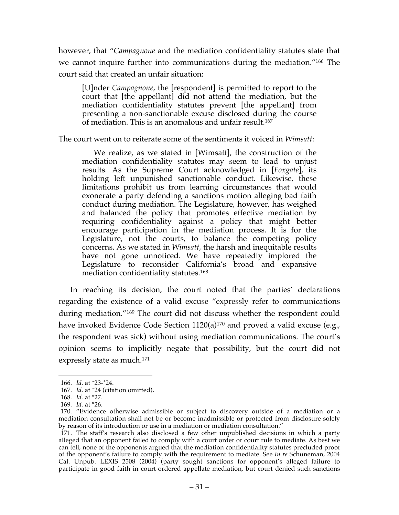however, that "*Campagnone* and the mediation confidentiality statutes state that we cannot inquire further into communications during the mediation."166 The court said that created an unfair situation:

[U]nder *Campagnone*, the [respondent] is permitted to report to the court that [the appellant] did not attend the mediation, but the mediation confidentiality statutes prevent [the appellant] from presenting a non-sanctionable excuse disclosed during the course of mediation. This is an anomalous and unfair result.167

The court went on to reiterate some of the sentiments it voiced in *Wimsatt*:

We realize, as we stated in [Wimsatt], the construction of the mediation confidentiality statutes may seem to lead to unjust results. As the Supreme Court acknowledged in [*Foxgate*], its holding left unpunished sanctionable conduct. Likewise, these limitations prohibit us from learning circumstances that would exonerate a party defending a sanctions motion alleging bad faith conduct during mediation. The Legislature, however, has weighed and balanced the policy that promotes effective mediation by requiring confidentiality against a policy that might better encourage participation in the mediation process. It is for the Legislature, not the courts, to balance the competing policy concerns. As we stated in *Wimsatt,* the harsh and inequitable results have not gone unnoticed. We have repeatedly implored the Legislature to reconsider California's broad and expansive mediation confidentiality statutes.168

In reaching its decision, the court noted that the parties' declarations regarding the existence of a valid excuse "expressly refer to communications during mediation."169 The court did not discuss whether the respondent could have invoked Evidence Code Section 1120(a)<sup>170</sup> and proved a valid excuse (e.g., the respondent was sick) without using mediation communications. The court's opinion seems to implicitly negate that possibility, but the court did not expressly state as much. 171

 <sup>166.</sup> *Id.* at \*23-\*24.

<sup>167.</sup> *Id.* at \*24 (citation omitted).

<sup>168.</sup> *Id.* at \*27.

<sup>169.</sup> *Id.* at \*26.

<sup>170.</sup> "Evidence otherwise admissible or subject to discovery outside of a mediation or a mediation consultation shall not be or become inadmissible or protected from disclosure solely by reason of its introduction or use in a mediation or mediation consultation."

<sup>171.</sup> The staff's research also disclosed a few other unpublished decisions in which a party alleged that an opponent failed to comply with a court order or court rule to mediate. As best we can tell, none of the opponents argued that the mediation confidentiality statutes precluded proof of the opponent's failure to comply with the requirement to mediate. See *In re* Schuneman, 2004 Cal. Unpub. LEXIS 2508 (2004) (party sought sanctions for opponent's alleged failure to participate in good faith in court-ordered appellate mediation, but court denied such sanctions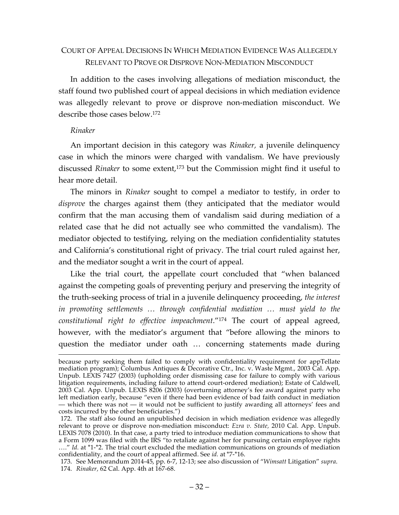## COURT OF APPEAL DECISIONS IN WHICH MEDIATION EVIDENCE WAS ALLEGEDLY RELEVANT TO PROVE OR DISPROVE NON-MEDIATION MISCONDUCT

In addition to the cases involving allegations of mediation misconduct, the staff found two published court of appeal decisions in which mediation evidence was allegedly relevant to prove or disprove non-mediation misconduct. We describe those cases below.172

### *Rinaker*

An important decision in this category was *Rinaker,* a juvenile delinquency case in which the minors were charged with vandalism. We have previously discussed *Rinaker* to some extent, <sup>173</sup> but the Commission might find it useful to hear more detail.

The minors in *Rinaker* sought to compel a mediator to testify, in order to *disprove* the charges against them (they anticipated that the mediator would confirm that the man accusing them of vandalism said during mediation of a related case that he did not actually see who committed the vandalism). The mediator objected to testifying, relying on the mediation confidentiality statutes and California's constitutional right of privacy. The trial court ruled against her, and the mediator sought a writ in the court of appeal.

Like the trial court, the appellate court concluded that "when balanced against the competing goals of preventing perjury and preserving the integrity of the truth-seeking process of trial in a juvenile delinquency proceeding, *the interest in promoting settlements … through confidential mediation … must yield to the constitutional right to effective impeachment*."174 The court of appeal agreed, however, with the mediator's argument that "before allowing the minors to question the mediator under oath … concerning statements made during

because party seeking them failed to comply with confidentiality requirement for appTellate mediation program); Columbus Antiques & Decorative Ctr., Inc. v. Waste Mgmt., 2003 Cal. App. Unpub. LEXIS 7427 (2003) (upholding order dismissing case for failure to comply with various litigation requirements, including failure to attend court-ordered mediation); Estate of Caldwell, 2003 Cal. App. Unpub. LEXIS 8206 (2003) (overturning attorney's fee award against party who left mediation early, because "even if there had been evidence of bad faith conduct in mediation — which there was not — it would not be sufficient to justify awarding all attorneys' fees and costs incurred by the other beneficiaries.")

<sup>172.</sup> The staff also found an unpublished decision in which mediation evidence was allegedly relevant to prove or disprove non-mediation misconduct: *Ezra v. State,* 2010 Cal. App. Unpub. LEXIS 7078 (2010). In that case, a party tried to introduce mediation communications to show that a Form 1099 was filed with the IRS "to retaliate against her for pursuing certain employee rights …." *Id.* at \*1-\*2. The trial court excluded the mediation communications on grounds of mediation confidentiality, and the court of appeal affirmed. See *id.* at \*7-\*16.

<sup>173.</sup> See Memorandum 2014-45, pp. 6-7, 12-13; see also discussion of "*Wimsatt* Litigation" *supra*. 174. *Rinaker,* 62 Cal. App. 4th at 167-68.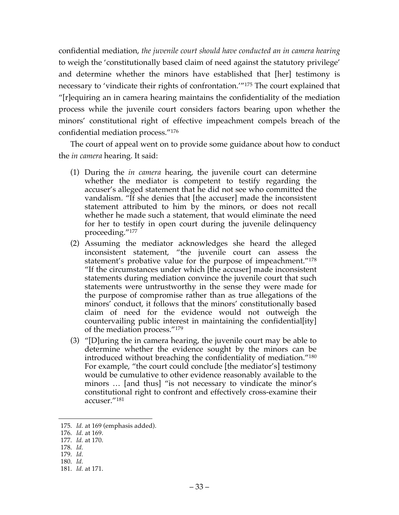confidential mediation, *the juvenile court should have conducted an in camera hearing* to weigh the 'constitutionally based claim of need against the statutory privilege' and determine whether the minors have established that [her] testimony is necessary to 'vindicate their rights of confrontation.'"175 The court explained that "[r]equiring an in camera hearing maintains the confidentiality of the mediation process while the juvenile court considers factors bearing upon whether the minors' constitutional right of effective impeachment compels breach of the confidential mediation process."176

The court of appeal went on to provide some guidance about how to conduct the *in camera* hearing. It said:

- (1) During the *in camera* hearing, the juvenile court can determine whether the mediator is competent to testify regarding the accuser's alleged statement that he did not see who committed the vandalism. "If she denies that [the accuser] made the inconsistent statement attributed to him by the minors, or does not recall whether he made such a statement, that would eliminate the need for her to testify in open court during the juvenile delinquency proceeding."177
- (2) Assuming the mediator acknowledges she heard the alleged inconsistent statement, "the juvenile court can assess the statement's probative value for the purpose of impeachment."178 "If the circumstances under which [the accuser] made inconsistent statements during mediation convince the juvenile court that such statements were untrustworthy in the sense they were made for the purpose of compromise rather than as true allegations of the minors' conduct, it follows that the minors' constitutionally based claim of need for the evidence would not outweigh the countervailing public interest in maintaining the confidential[ity] of the mediation process."179
- (3) "[D]uring the in camera hearing, the juvenile court may be able to determine whether the evidence sought by the minors can be introduced without breaching the confidentiality of mediation."180 For example, "the court could conclude [the mediator's] testimony would be cumulative to other evidence reasonably available to the minors … [and thus] "is not necessary to vindicate the minor's constitutional right to confront and effectively cross-examine their accuser."181

 <sup>175.</sup> *Id.* at 169 (emphasis added).

<sup>176.</sup> *Id.* at 169.

<sup>177.</sup> *Id.* at 170.

<sup>178.</sup> *Id.*

<sup>179.</sup> *Id.*

<sup>180.</sup> *Id.*

<sup>181.</sup> *Id.* at 171.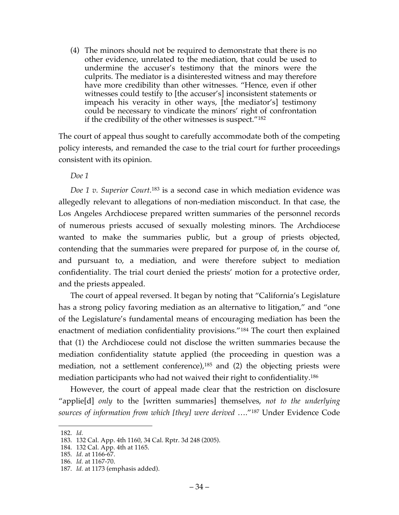(4) The minors should not be required to demonstrate that there is no other evidence, unrelated to the mediation, that could be used to undermine the accuser's testimony that the minors were the culprits. The mediator is a disinterested witness and may therefore have more credibility than other witnesses. "Hence, even if other witnesses could testify to [the accuser's] inconsistent statements or impeach his veracity in other ways, [the mediator's] testimony could be necessary to vindicate the minors' right of confrontation if the credibility of the other witnesses is suspect."182

The court of appeal thus sought to carefully accommodate both of the competing policy interests, and remanded the case to the trial court for further proceedings consistent with its opinion.

*Doe 1*

*Doe 1 v. Superior Court.*<sup>183</sup> is a second case in which mediation evidence was allegedly relevant to allegations of non-mediation misconduct. In that case, the Los Angeles Archdiocese prepared written summaries of the personnel records of numerous priests accused of sexually molesting minors. The Archdiocese wanted to make the summaries public, but a group of priests objected, contending that the summaries were prepared for purpose of, in the course of, and pursuant to, a mediation, and were therefore subject to mediation confidentiality. The trial court denied the priests' motion for a protective order, and the priests appealed.

The court of appeal reversed. It began by noting that "California's Legislature has a strong policy favoring mediation as an alternative to litigation," and "one of the Legislature's fundamental means of encouraging mediation has been the enactment of mediation confidentiality provisions."184 The court then explained that (1) the Archdiocese could not disclose the written summaries because the mediation confidentiality statute applied (the proceeding in question was a mediation, not a settlement conference), <sup>185</sup> and (2) the objecting priests were mediation participants who had not waived their right to confidentiality.186

However, the court of appeal made clear that the restriction on disclosure "applie[d] *only* to the [written summaries] themselves, *not to the underlying sources of information from which [they] were derived* …."187 Under Evidence Code

 <sup>182.</sup> *Id.*

<sup>183.</sup> 132 Cal. App. 4th 1160, 34 Cal. Rptr. 3d 248 (2005).

<sup>184.</sup> 132 Cal. App. 4th at 1165.

<sup>185.</sup> *Id.* at 1166-67.

<sup>186.</sup> *Id.* at 1167-70.

<sup>187.</sup> *Id.* at 1173 (emphasis added).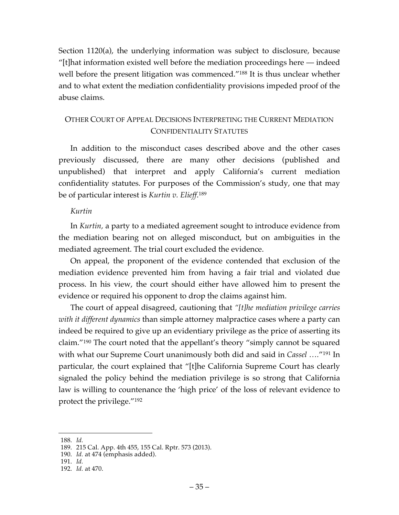Section 1120(a), the underlying information was subject to disclosure, because "[t]hat information existed well before the mediation proceedings here — indeed well before the present litigation was commenced."<sup>188</sup> It is thus unclear whether and to what extent the mediation confidentiality provisions impeded proof of the abuse claims.

# OTHER COURT OF APPEAL DECISIONS INTERPRETING THE CURRENT MEDIATION CONFIDENTIALITY STATUTES

In addition to the misconduct cases described above and the other cases previously discussed, there are many other decisions (published and unpublished) that interpret and apply California's current mediation confidentiality statutes. For purposes of the Commission's study, one that may be of particular interest is *Kurtin v. Elieff*. 189

### *Kurtin*

In *Kurtin,* a party to a mediated agreement sought to introduce evidence from the mediation bearing not on alleged misconduct, but on ambiguities in the mediated agreement. The trial court excluded the evidence.

On appeal, the proponent of the evidence contended that exclusion of the mediation evidence prevented him from having a fair trial and violated due process. In his view, the court should either have allowed him to present the evidence or required his opponent to drop the claims against him.

The court of appeal disagreed, cautioning that *"[t]he mediation privilege carries with it different dynamics* than simple attorney malpractice cases where a party can indeed be required to give up an evidentiary privilege as the price of asserting its claim."190 The court noted that the appellant's theory "simply cannot be squared with what our Supreme Court unanimously both did and said in *Cassel ….*"191 In particular, the court explained that "[t]he California Supreme Court has clearly signaled the policy behind the mediation privilege is so strong that California law is willing to countenance the 'high price' of the loss of relevant evidence to protect the privilege."192

 <sup>188.</sup> *Id.*

<sup>189.</sup> 215 Cal. App. 4th 455, 155 Cal. Rptr. 573 (2013).

<sup>190.</sup> *Id.* at 474 (emphasis added).

<sup>191.</sup> *Id.*

<sup>192.</sup> *Id.* at 470.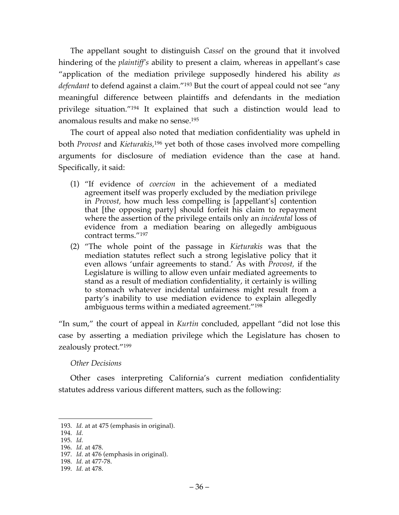The appellant sought to distinguish *Cassel* on the ground that it involved hindering of the *plaintiff's* ability to present a claim, whereas in appellant's case "application of the mediation privilege supposedly hindered his ability *as defendant* to defend against a claim."193 But the court of appeal could not see "any meaningful difference between plaintiffs and defendants in the mediation privilege situation."194 It explained that such a distinction would lead to anomalous results and make no sense.195

The court of appeal also noted that mediation confidentiality was upheld in both *Provost* and *Kieturakis,*<sup>196</sup> yet both of those cases involved more compelling arguments for disclosure of mediation evidence than the case at hand. Specifically, it said:

- (1) "If evidence of *coercion* in the achievement of a mediated agreement itself was properly excluded by the mediation privilege in *Provost,* how much less compelling is [appellant's] contention that [the opposing party] should forfeit his claim to repayment where the assertion of the privilege entails only an *incidental* loss of evidence from a mediation bearing on allegedly ambiguous contract terms."197
- (2) "The whole point of the passage in *Kieturakis* was that the mediation statutes reflect such a strong legislative policy that it even allows 'unfair agreements to stand.' As with *Provost,* if the Legislature is willing to allow even unfair mediated agreements to stand as a result of mediation confidentiality, it certainly is willing to stomach whatever incidental unfairness might result from a party's inability to use mediation evidence to explain allegedly ambiguous terms within a mediated agreement."198

"In sum," the court of appeal in *Kurtin* concluded, appellant "did not lose this case by asserting a mediation privilege which the Legislature has chosen to zealously protect."199

### *Other Decisions*

Other cases interpreting California's current mediation confidentiality statutes address various different matters, such as the following:

- 195. *Id.*
- 196. *Id.* at 478.

198. *Id.* at 477-78.

 <sup>193.</sup> *Id.* at at 475 (emphasis in original).

<sup>194.</sup> *Id.*

<sup>197.</sup> *Id.* at 476 (emphasis in original).

<sup>199.</sup> *Id.* at 478.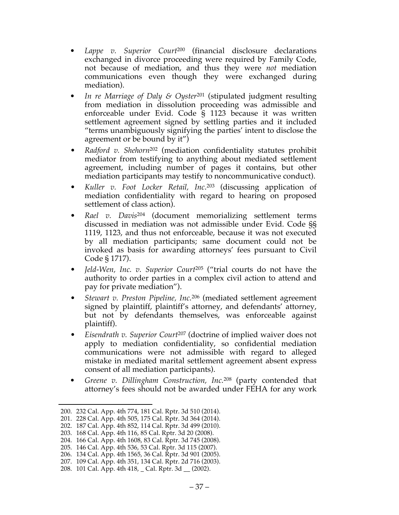- Lappe v. Superior Court<sup>200</sup> (financial disclosure declarations exchanged in divorce proceeding were required by Family Code, not because of mediation, and thus they were *not* mediation communications even though they were exchanged during mediation).
- *• In re Marriage of Daly & Oyster*<sup>201</sup> (stipulated judgment resulting from mediation in dissolution proceeding was admissible and enforceable under Evid. Code § 1123 because it was written settlement agreement signed by settling parties and it included "terms unambiguously signifying the parties' intent to disclose the agreement or be bound by it")
- *Radford v. Shehorn*<sup>202</sup> (mediation confidentiality statutes prohibit mediator from testifying to anything about mediated settlement agreement, including number of pages it contains, but other mediation participants may testify to noncommunicative conduct).
- *Kuller v. Foot Locker Retail, Inc*. <sup>203</sup> (discussing application of mediation confidentiality with regard to hearing on proposed settlement of class action).
- *Rael v. Davis*<sup>204</sup> (document memorializing settlement terms discussed in mediation was not admissible under Evid. Code §§ 1119, 1123, and thus not enforceable, because it was not executed by all mediation participants; same document could not be invoked as basis for awarding attorneys' fees pursuant to Civil Code § 1717).
- *Jeld-Wen, Inc. v. Superior Court*<sup>205</sup> ("trial courts do not have the authority to order parties in a complex civil action to attend and pay for private mediation").
- *Stewart v. Preston Pipeline, Inc.*<sup>206</sup> (mediated settlement agreement signed by plaintiff, plaintiff's attorney, and defendants' attorney, but not by defendants themselves, was enforceable against plaintiff).
- *Eisendrath v. Superior Court*<sup>207</sup> (doctrine of implied waiver does not apply to mediation confidentiality, so confidential mediation communications were not admissible with regard to alleged mistake in mediated marital settlement agreement absent express consent of all mediation participants).
- *• Greene v. Dillingham Construction, Inc.*<sup>208</sup> (party contended that attorney's fees should not be awarded under FEHA for any work

 <sup>200.</sup> 232 Cal. App. 4th 774, 181 Cal. Rptr. 3d 510 (2014).

<sup>201.</sup> 228 Cal. App. 4th 505, 175 Cal. Rptr. 3d 364 (2014).

<sup>202.</sup> 187 Cal. App. 4th 852, 114 Cal. Rptr. 3d 499 (2010).

<sup>203.</sup> 168 Cal. App. 4th 116, 85 Cal. Rptr. 3d 20 (2008).

<sup>204.</sup> 166 Cal. App. 4th 1608, 83 Cal. Rptr. 3d 745 (2008).

<sup>205.</sup> 146 Cal. App. 4th 536, 53 Cal. Rptr. 3d 115 (2007).

<sup>206.</sup> 134 Cal. App. 4th 1565, 36 Cal. Rptr. 3d 901 (2005).

<sup>207.</sup> 109 Cal. App. 4th 351, 134 Cal. Rptr. 2d 716 (2003). 208. 101 Cal. App. 4th 418, \_ Cal. Rptr. 3d \_\_ (2002).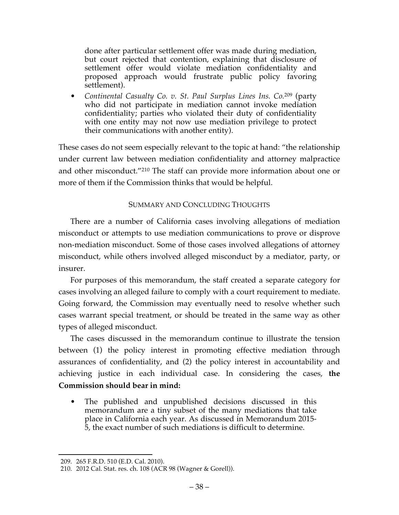done after particular settlement offer was made during mediation, but court rejected that contention, explaining that disclosure of settlement offer would violate mediation confidentiality and proposed approach would frustrate public policy favoring settlement).

• *Continental Casualty Co. v. St. Paul Surplus Lines Ins. Co.*<sup>209</sup> (party who did not participate in mediation cannot invoke mediation confidentiality; parties who violated their duty of confidentiality with one entity may not now use mediation privilege to protect their communications with another entity).

These cases do not seem especially relevant to the topic at hand: "the relationship under current law between mediation confidentiality and attorney malpractice and other misconduct."210 The staff can provide more information about one or more of them if the Commission thinks that would be helpful.

### SUMMARY AND CONCLUDING THOUGHTS

There are a number of California cases involving allegations of mediation misconduct or attempts to use mediation communications to prove or disprove non-mediation misconduct. Some of those cases involved allegations of attorney misconduct, while others involved alleged misconduct by a mediator, party, or insurer.

For purposes of this memorandum, the staff created a separate category for cases involving an alleged failure to comply with a court requirement to mediate. Going forward, the Commission may eventually need to resolve whether such cases warrant special treatment, or should be treated in the same way as other types of alleged misconduct.

The cases discussed in the memorandum continue to illustrate the tension between (1) the policy interest in promoting effective mediation through assurances of confidentiality, and (2) the policy interest in accountability and achieving justice in each individual case. In considering the cases, **the Commission should bear in mind:**

The published and unpublished decisions discussed in this memorandum are a tiny subset of the many mediations that take place in California each year. As discussed in Memorandum 2015- 5, the exact number of such mediations is difficult to determine.

 <sup>209.</sup> 265 F.R.D. 510 (E.D. Cal. 2010).

<sup>210.</sup> 2012 Cal. Stat. res. ch. 108 (ACR 98 (Wagner & Gorell)).